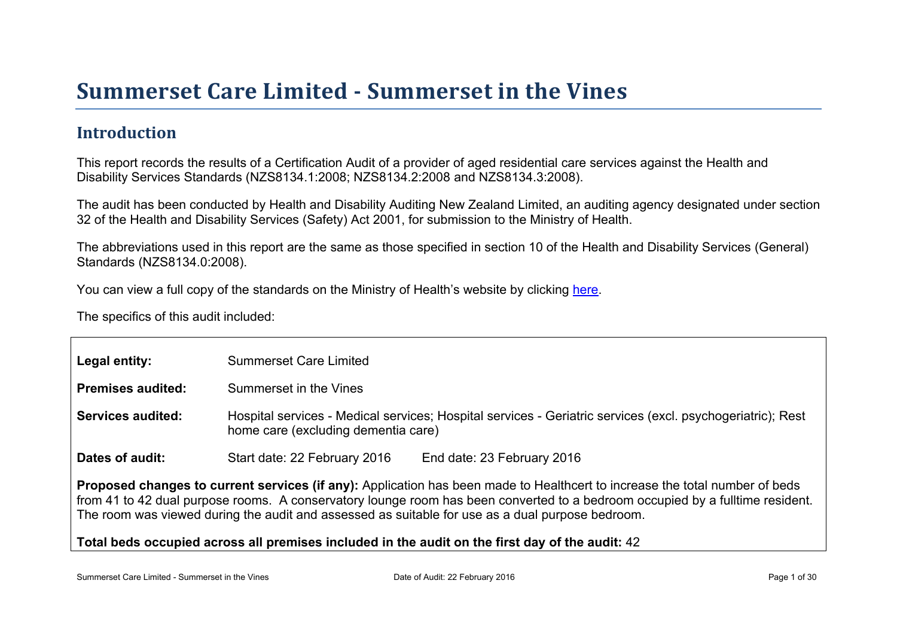# Summer set Car e Limited - Summer set in the Vines

### Introduction

This report records the results of a Certification Audit of a provider of aged residential care services against the Health and Disability Services Standards (NZS8134.1:2008; NZS8134.2:2008 and NZS8134.3:2008).

The audit has been conducted by Health and Disability Auditing New Zealand Limited, an auditing agency designated under section 32 of the Health and Disability Services (Safety) Act 2001, for submission to the Ministry of Health.

The abbreviations used in this report are the same as those specified in section 10 of the Health and Disability Services (General) Standards (NZS8134.0:2008).

You can view a full copy of the standards on the Ministry of Health's website by clicking [here.](http://www.health.govt.nz/our-work/regulation-health-and-disability-system/certification-health-care-services/health-and-disability-services-standards)

The specifics of this audit included:

| Legal entity:                                                                                                                                                                                                                                                                                                                                                    | <b>Summerset Care Limited</b>                                                                                                                     |  |  |
|------------------------------------------------------------------------------------------------------------------------------------------------------------------------------------------------------------------------------------------------------------------------------------------------------------------------------------------------------------------|---------------------------------------------------------------------------------------------------------------------------------------------------|--|--|
| Premises audited:                                                                                                                                                                                                                                                                                                                                                | Summerset in the Vines                                                                                                                            |  |  |
| Services audited:                                                                                                                                                                                                                                                                                                                                                | Hospital services - Medical services; Hospital services - Geriatric services (excl. psychogeriatric); Rest<br>home care (excluding dementia care) |  |  |
| Dates of audit:                                                                                                                                                                                                                                                                                                                                                  | Start date: 22 February 2016<br>End date: 23 February 2016                                                                                        |  |  |
| Proposed changes to current services (if any): Application has been made to Healthcert to increase the total number of beds<br>from 41 to 42 dual purpose rooms. A conservatory lounge room has been converted to a bedroom occupied by a fulltime resident.<br>The room was viewed during the audit and assessed as suitable for use as a dual purpose bedroom. |                                                                                                                                                   |  |  |
|                                                                                                                                                                                                                                                                                                                                                                  | Total beds occupied across all premises included<br>in the audit on the first day of the audit: 42                                                |  |  |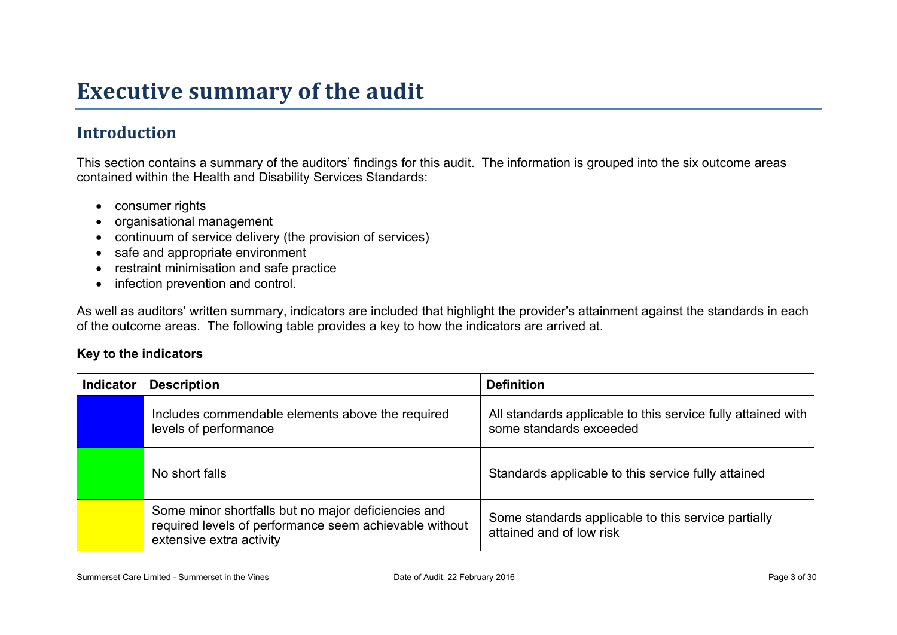## **Executive summary of the audit**

## **Introduction**

This section contains a summary of the auditors' findings for this audit. The information is grouped into the six outcome areas contained within the Health and Disability Services Standards:

- consumer rights
- organisational management
- continuum of service delivery (the provision of services)
- safe and appropriate environment
- restraint minimisation and safe practice
- infection prevention and control.

As well as auditors' written summary, indicators are included that highlight the provider's attainment against the standards in each of the outcome areas. The following table provides a key to how the indicators are arrived at.

#### **Key to the indicators**

| <b>Indicator</b> | <b>Description</b>                                                                                                                        | <b>Definition</b>                                                                       |
|------------------|-------------------------------------------------------------------------------------------------------------------------------------------|-----------------------------------------------------------------------------------------|
|                  | Includes commendable elements above the required<br>levels of performance                                                                 | All standards applicable to this service fully attained with<br>some standards exceeded |
|                  | No short falls                                                                                                                            | Standards applicable to this service fully attained                                     |
|                  | Some minor shortfalls but no major deficiencies and<br>required levels of performance seem achievable without<br>extensive extra activity | Some standards applicable to this service partially<br>attained and of low risk         |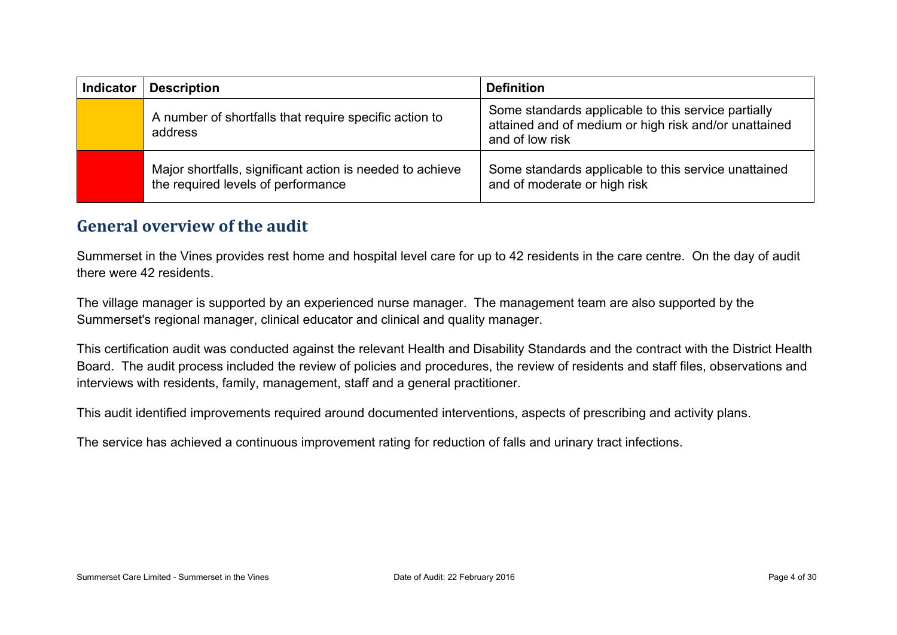| <b>Indicator</b> | <b>Description</b>                                                                              | <b>Definition</b>                                                                                                               |
|------------------|-------------------------------------------------------------------------------------------------|---------------------------------------------------------------------------------------------------------------------------------|
|                  | A number of shortfalls that require specific action to<br>address                               | Some standards applicable to this service partially<br>attained and of medium or high risk and/or unattained<br>and of low risk |
|                  | Major shortfalls, significant action is needed to achieve<br>the required levels of performance | Some standards applicable to this service unattained<br>and of moderate or high risk                                            |

### **General overview of the audit**

Summerset in the Vines provides rest home and hospital level care for up to 42 residents in the care centre. On the day of audit there were 42 residents.

The village manager is supported by an experienced nurse manager. The management team are also supported by the Summerset's regional manager, clinical educator and clinical and quality manager.

This certification audit was conducted against the relevant Health and Disability Standards and the contract with the District Health Board. The audit process included the review of policies and procedures, the review of residents and staff files, observations and interviews with residents, family, management, staff and a general practitioner.

This audit identified improvements required around documented interventions, aspects of prescribing and activity plans.

The service has achieved a continuous improvement rating for reduction of falls and urinary tract infections.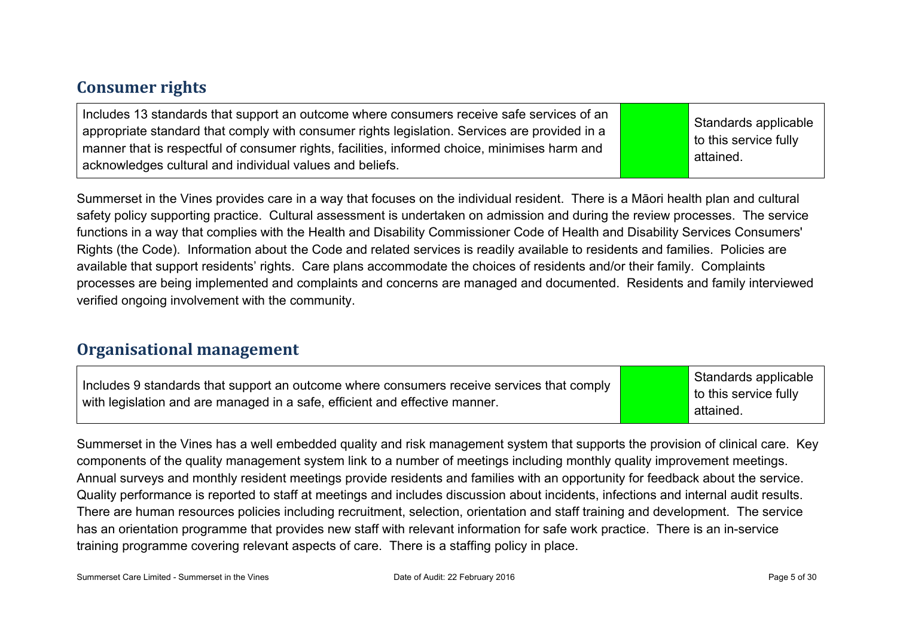### **Consumer rights**

| Includes 13 standards that support an outcome where consumers receive safe services of an<br>appropriate standard that comply with consumer rights legislation. Services are provided in a<br>manner that is respectful of consumer rights, facilities, informed choice, minimises harm and<br>acknowledges cultural and individual values and beliefs. |  | Standards applicable<br>to this service fully<br>attained. |
|---------------------------------------------------------------------------------------------------------------------------------------------------------------------------------------------------------------------------------------------------------------------------------------------------------------------------------------------------------|--|------------------------------------------------------------|
|---------------------------------------------------------------------------------------------------------------------------------------------------------------------------------------------------------------------------------------------------------------------------------------------------------------------------------------------------------|--|------------------------------------------------------------|

Summerset in the Vines provides care in a way that focuses on the individual resident. There is a Māori health plan and cultural safety policy supporting practice. Cultural assessment is undertaken on admission and during the review processes. The service functions in a way that complies with the Health and Disability Commissioner Code of Health and Disability Services Consumers' Rights (the Code). Information about the Code and related services is readily available to residents and families. Policies are available that support residents' rights. Care plans accommodate the choices of residents and/or their family. Complaints processes are being implemented and complaints and concerns are managed and documented. Residents and family interviewed verified ongoing involvement with the community.

#### **Organisational management**

| Includes 9 standards that support an outcome where consumers receive services that comply<br>with legislation and are managed in a safe, efficient and effective manner. | Standards applicable<br>to this service fully<br>attained. |
|--------------------------------------------------------------------------------------------------------------------------------------------------------------------------|------------------------------------------------------------|
|--------------------------------------------------------------------------------------------------------------------------------------------------------------------------|------------------------------------------------------------|

Summerset in the Vines has a well embedded quality and risk management system that supports the provision of clinical care. Key components of the quality management system link to a number of meetings including monthly quality improvement meetings. Annual surveys and monthly resident meetings provide residents and families with an opportunity for feedback about the service. Quality performance is reported to staff at meetings and includes discussion about incidents, infections and internal audit results. There are human resources policies including recruitment, selection, orientation and staff training and development. The service has an orientation programme that provides new staff with relevant information for safe work practice. There is an in-service training programme covering relevant aspects of care. There is a staffing policy in place.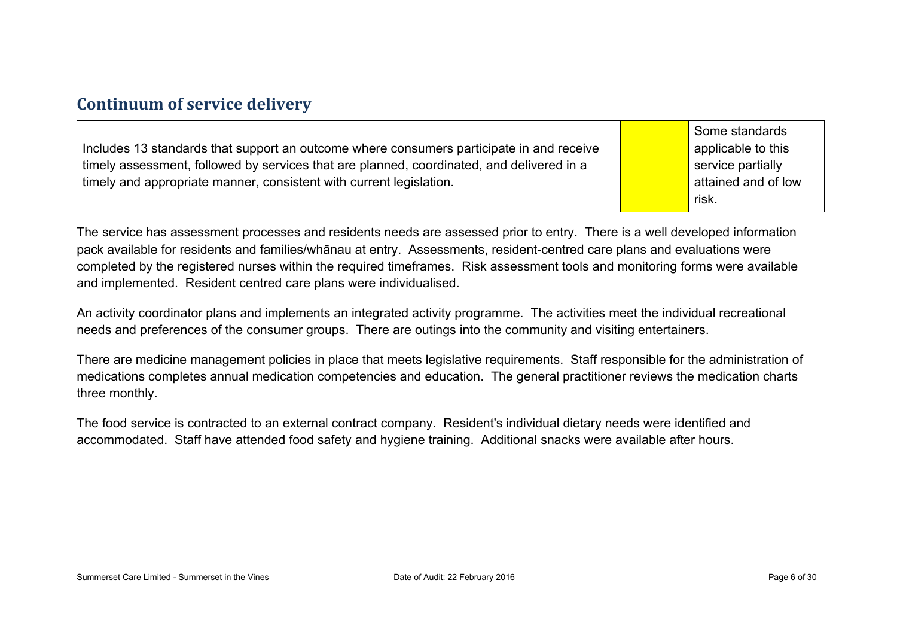### **Continuum of service delivery**

|                                                                     |                                                                                           | Some standards      |
|---------------------------------------------------------------------|-------------------------------------------------------------------------------------------|---------------------|
|                                                                     | Includes 13 standards that support an outcome where consumers participate in and receive  | applicable to this  |
|                                                                     | timely assessment, followed by services that are planned, coordinated, and delivered in a | service partially   |
| timely and appropriate manner, consistent with current legislation. |                                                                                           | attained and of low |
|                                                                     |                                                                                           | risk.               |

The service has assessment processes and residents needs are assessed prior to entry. There is a well developed information pack available for residents and families/whānau at entry. Assessments, resident-centred care plans and evaluations were completed by the registered nurses within the required timeframes. Risk assessment tools and monitoring forms were available and implemented. Resident centred care plans were individualised.

An activity coordinator plans and implements an integrated activity programme. The activities meet the individual recreational needs and preferences of the consumer groups. There are outings into the community and visiting entertainers.

There are medicine management policies in place that meets legislative requirements. Staff responsible for the administration of medications completes annual medication competencies and education. The general practitioner reviews the medication charts three monthly.

The food service is contracted to an external contract company. Resident's individual dietary needs were identified and accommodated. Staff have attended food safety and hygiene training. Additional snacks were available after hours.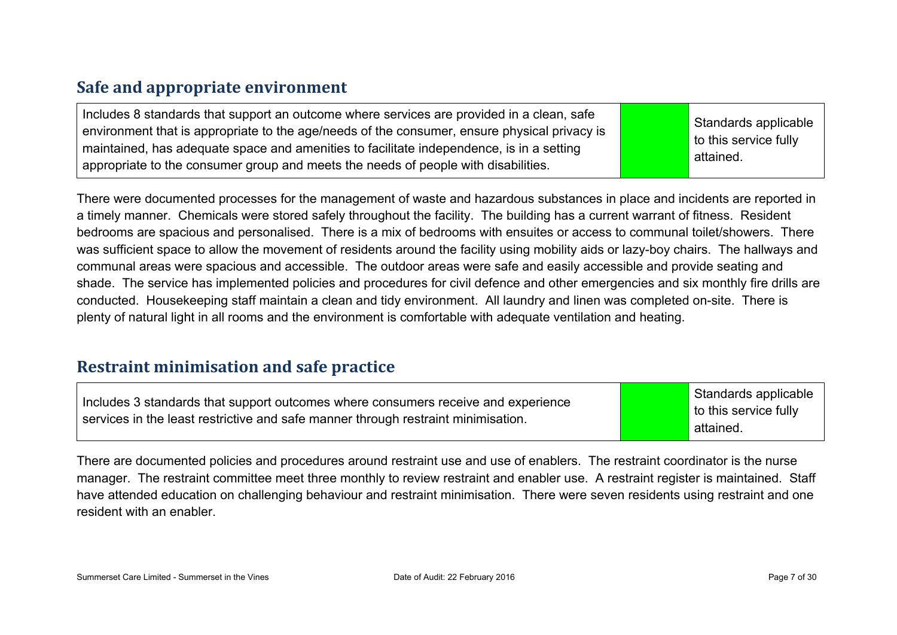### **Safe and appropriate environment**

| Includes 8 standards that support an outcome where services are provided in a clean, safe<br>environment that is appropriate to the age/needs of the consumer, ensure physical privacy is<br>maintained, has adequate space and amenities to facilitate independence, is in a setting<br>appropriate to the consumer group and meets the needs of people with disabilities. |  | Standards applicable<br>to this service fully<br>attained. |
|-----------------------------------------------------------------------------------------------------------------------------------------------------------------------------------------------------------------------------------------------------------------------------------------------------------------------------------------------------------------------------|--|------------------------------------------------------------|
|-----------------------------------------------------------------------------------------------------------------------------------------------------------------------------------------------------------------------------------------------------------------------------------------------------------------------------------------------------------------------------|--|------------------------------------------------------------|

There were documented processes for the management of waste and hazardous substances in place and incidents are reported in a timely manner. Chemicals were stored safely throughout the facility. The building has a current warrant of fitness. Resident bedrooms are spacious and personalised. There is a mix of bedrooms with ensuites or access to communal toilet/showers. There was sufficient space to allow the movement of residents around the facility using mobility aids or lazy-boy chairs. The hallways and communal areas were spacious and accessible. The outdoor areas were safe and easily accessible and provide seating and shade. The service has implemented policies and procedures for civil defence and other emergencies and six monthly fire drills are conducted. Housekeeping staff maintain a clean and tidy environment. All laundry and linen was completed on-site. There is plenty of natural light in all rooms and the environment is comfortable with adequate ventilation and heating.

#### **Restraint minimisation and safe practice**

| Includes 3 standards that support outcomes where consumers receive and experience |  |
|-----------------------------------------------------------------------------------|--|
| services in the least restrictive and safe manner through restraint minimisation. |  |

Standards applicable to this service fully attained.

There are documented policies and procedures around restraint use and use of enablers. The restraint coordinator is the nurse manager. The restraint committee meet three monthly to review restraint and enabler use. A restraint register is maintained. Staff have attended education on challenging behaviour and restraint minimisation. There were seven residents using restraint and one resident with an enabler.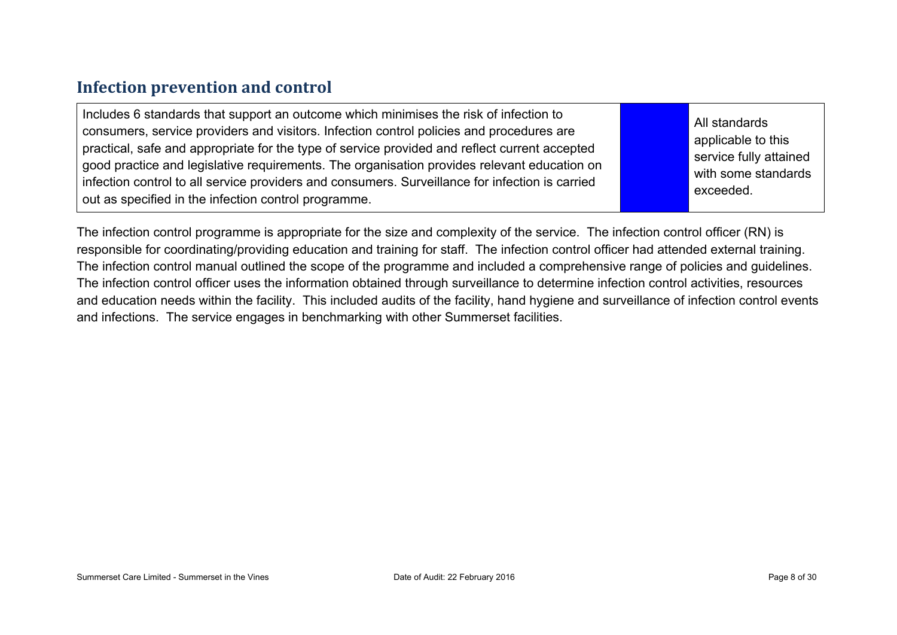### **Infection prevention and control**

| Includes 6 standards that support an outcome which minimises the risk of infection to<br>consumers, service providers and visitors. Infection control policies and procedures are<br>practical, safe and appropriate for the type of service provided and reflect current accepted<br>good practice and legislative requirements. The organisation provides relevant education on | All s<br>app<br>ser |
|-----------------------------------------------------------------------------------------------------------------------------------------------------------------------------------------------------------------------------------------------------------------------------------------------------------------------------------------------------------------------------------|---------------------|
| infection control to all service providers and consumers. Surveillance for infection is carried<br>out as specified in the infection control programme.                                                                                                                                                                                                                           | with<br>exc         |

standards plicable to this vice fully attained wisome standards eeded.

The infection control programme is appropriate for the size and complexity of the service. The infection control officer (RN) is responsible for coordinating/providing education and training for staff. The infection control officer had attended external training. The infection control manual outlined the scope of the programme and included a comprehensive range of policies and guidelines. The infection control officer uses the information obtained through surveillance to determine infection control activities, resources and education needs within the facility. This included audits of the facility, hand hygiene and surveillance of infection control events and infections. The service engages in benchmarking with other Summerset facilities.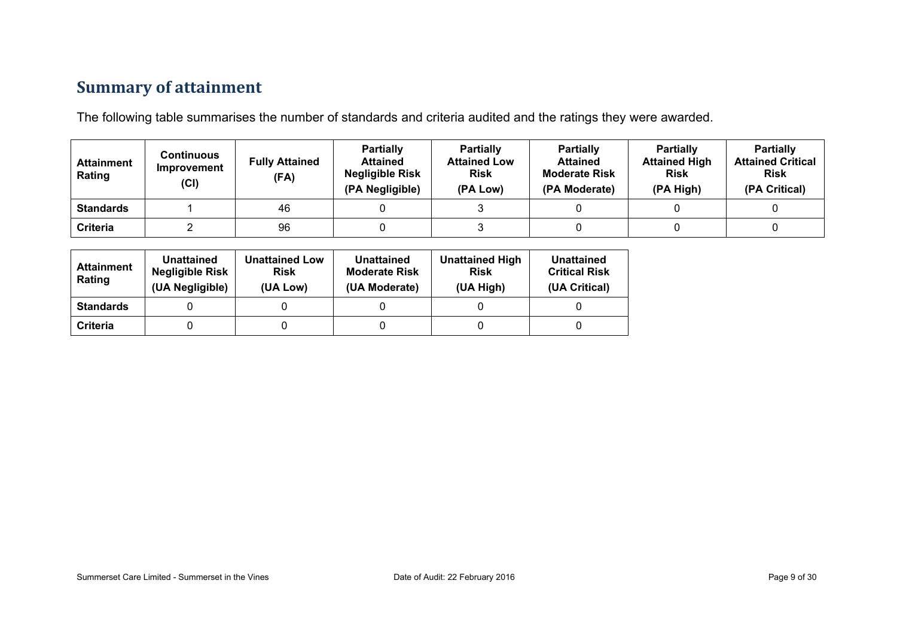## **Summary of attainment**

The following table summarises the number of standards and criteria audited and the ratings they were awarded.

| <b>Attainment</b><br>Rating | Continuous<br>Improvement<br>(Cl) | <b>Fully Attained</b><br>(FA) | <b>Partially</b><br><b>Attained</b><br><b>Negligible Risk</b><br>(PA Negligible) | <b>Partially</b><br><b>Attained Low</b><br><b>Risk</b><br>(PA Low) | <b>Partially</b><br><b>Attained</b><br><b>Moderate Risk</b><br>(PA Moderate) | <b>Partially</b><br><b>Attained High</b><br><b>Risk</b><br>(PA High) | <b>Partially</b><br><b>Attained Critical</b><br><b>Risk</b><br>(PA Critical) |
|-----------------------------|-----------------------------------|-------------------------------|----------------------------------------------------------------------------------|--------------------------------------------------------------------|------------------------------------------------------------------------------|----------------------------------------------------------------------|------------------------------------------------------------------------------|
| <b>Standards</b>            |                                   | 46                            |                                                                                  |                                                                    |                                                                              |                                                                      |                                                                              |
| <b>Criteria</b>             |                                   | 96                            |                                                                                  |                                                                    |                                                                              |                                                                      |                                                                              |

| <b>Attainment</b><br>Rating | Unattained<br><b>Negligible Risk</b><br>(UA Negligible) | <b>Unattained Low</b><br><b>Risk</b><br>(UA Low) | Unattained<br><b>Moderate Risk</b><br>(UA Moderate) | <b>Unattained High</b><br><b>Risk</b><br>(UA High) | Unattained<br><b>Critical Risk</b><br>(UA Critical) |
|-----------------------------|---------------------------------------------------------|--------------------------------------------------|-----------------------------------------------------|----------------------------------------------------|-----------------------------------------------------|
| <b>Standards</b>            |                                                         |                                                  |                                                     |                                                    |                                                     |
| Criteria                    |                                                         |                                                  |                                                     |                                                    |                                                     |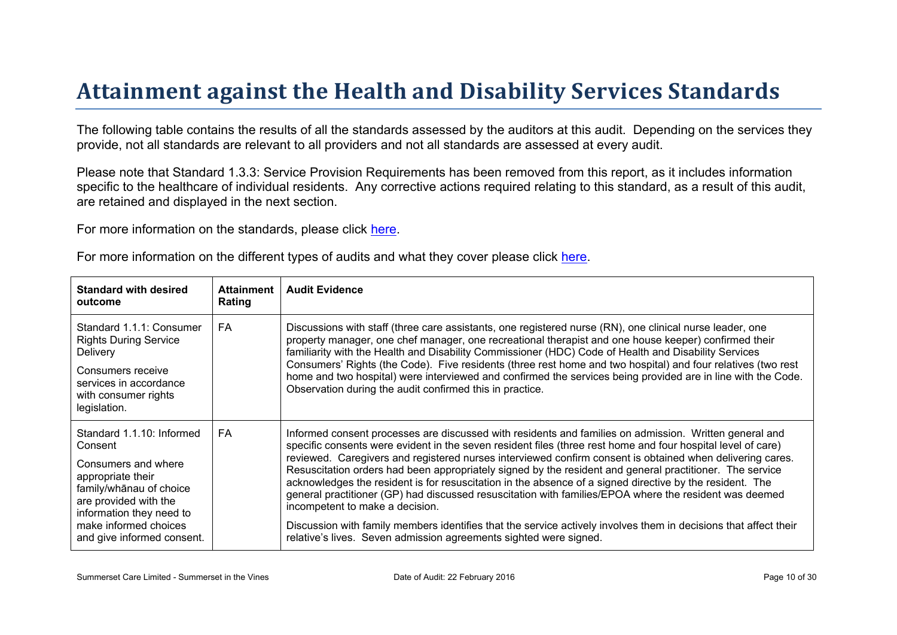# Attainment against the Health and Disability Ser vices Standar ds

The following table contains the results of all the standards assessed by the auditors at this audit. Depending on the services they provide, not all standards are relevant to all providers and not all standards are assessed at every audit.

Please note that Standard 1.3.3: Service Provision Requirements has been removed from this report, as it includes information specific to the healthcare of individual residents. Any corrective actions required relating to this standard, as a result of this audit, are retained and displayed in the next section.

For more information on the standards, please click [here](http://www.health.govt.nz/our-work/regulation-health-and-disability-system/certification-health-care-services/health-and-disability-services-standards).

|  |  |  |  | For more information on the different types of audits and what they cover please click here. |
|--|--|--|--|----------------------------------------------------------------------------------------------|
|--|--|--|--|----------------------------------------------------------------------------------------------|

| Standard with desired<br>outcome                                                                                                                                                                 | Attainment<br>Rating | Audit Evidence                                                                                                                                                                                                                                                                                                                                                                                                                                                                                                                                                                                                                                                                                                                                                                                                                                                                                    |
|--------------------------------------------------------------------------------------------------------------------------------------------------------------------------------------------------|----------------------|---------------------------------------------------------------------------------------------------------------------------------------------------------------------------------------------------------------------------------------------------------------------------------------------------------------------------------------------------------------------------------------------------------------------------------------------------------------------------------------------------------------------------------------------------------------------------------------------------------------------------------------------------------------------------------------------------------------------------------------------------------------------------------------------------------------------------------------------------------------------------------------------------|
| Standard 1.1.1: Consumer<br><b>Rights During Service</b><br><b>Delivery</b><br>Consumers receive<br>services in accordance<br>with consumer rights<br>legislation.                               | FA.                  | Discussions with staff (three care assistants, one registered nurse (RN), one clinical nurse leader, one<br>property manager, one chef manager, one recreational therapist and one house keeper) confirmed their<br>familiarity with the Health and Disability Commissioner (HDC) Code of Health and Disability Services<br>Consumers' Rights (the Code). Five residents (three rest home and two hospital) and four relatives (two rest<br>home and two hospital) were interviewed and confirmed the services being provided are in line with the Code.<br>Observation during the audit confirmed this in practice.                                                                                                                                                                                                                                                                              |
| Standard 1.1.10: Informed<br>Consent<br>Consumers and where<br>appropriate their<br>$$  A of choiceare provided with theinformation they need tomake informed choicesand give informed consent.$ | FA                   | Informed consent processes are discussed with residents and families on admission. Written general and<br>specific consents were evident in the seven resident files (three rest home and four hospital level of care)<br>reviewed. Caregivers and registered nurses interviewed confirm consent is obtained when delivering cares.<br>Resuscitation orders had been appropriately signed by the resident and general practitioner. The service<br>acknowledges the resident is for resuscitation in the absence of a signed directive by the resident. The<br>general practitioner (GP) had discussed resuscitation with families/EPOA where the resident was deemed<br>incompetent to make a decision.<br>Discussion with family members identifies that the service actively involves them in decisions that affect their<br>relative's lives. Seven admission agreements sighted were signed. |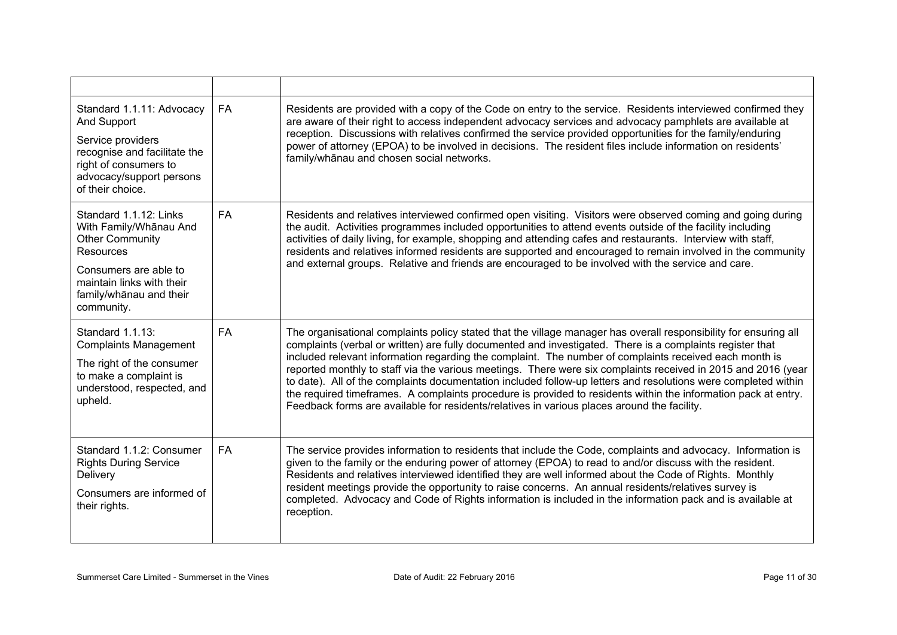| Standard 1.1.11: Advocacy<br>And Support<br>Service providers<br>recognise and facilitate the<br>right of consumers to<br>advocacy/support persons<br>of their choice.                        | <b>FA</b> | Residents are provided with a copy of the Code on entry to the service. Residents interviewed confirmed they<br>are aware of their right to access independent advocacy services and advocacy pamphlets are available at<br>reception. Discussions with relatives confirmed the service provided opportunities for the family/enduring<br>power of attorney (EPOA) to be involved in decisions. The resident files include information on residents'<br>family/whanau and chosen social networks.                                                                                                                                                                                                                                                                                           |
|-----------------------------------------------------------------------------------------------------------------------------------------------------------------------------------------------|-----------|---------------------------------------------------------------------------------------------------------------------------------------------------------------------------------------------------------------------------------------------------------------------------------------------------------------------------------------------------------------------------------------------------------------------------------------------------------------------------------------------------------------------------------------------------------------------------------------------------------------------------------------------------------------------------------------------------------------------------------------------------------------------------------------------|
| Standard 1.1.12: Links<br>With Family/Whanau And<br><b>Other Community</b><br><b>Resources</b><br>Consumers are able to<br>maintain links with their<br>family/whanau and their<br>community. | <b>FA</b> | Residents and relatives interviewed confirmed open visiting. Visitors were observed coming and going during<br>the audit. Activities programmes included opportunities to attend events outside of the facility including<br>activities of daily living, for example, shopping and attending cafes and restaurants. Interview with staff,<br>residents and relatives informed residents are supported and encouraged to remain involved in the community<br>and external groups. Relative and friends are encouraged to be involved with the service and care.                                                                                                                                                                                                                              |
| Standard 1.1.13:<br><b>Complaints Management</b><br>The right of the consumer<br>to make a complaint is<br>understood, respected, and<br>upheld.                                              | <b>FA</b> | The organisational complaints policy stated that the village manager has overall responsibility for ensuring all<br>complaints (verbal or written) are fully documented and investigated. There is a complaints register that<br>included relevant information regarding the complaint. The number of complaints received each month is<br>reported monthly to staff via the various meetings. There were six complaints received in 2015 and 2016 (year<br>to date). All of the complaints documentation included follow-up letters and resolutions were completed within<br>the required timeframes. A complaints procedure is provided to residents within the information pack at entry.<br>Feedback forms are available for residents/relatives in various places around the facility. |
| Standard 1.1.2: Consumer<br><b>Rights During Service</b><br>Delivery<br>Consumers are informed of<br>their rights.                                                                            | <b>FA</b> | The service provides information to residents that include the Code, complaints and advocacy. Information is<br>given to the family or the enduring power of attorney (EPOA) to read to and/or discuss with the resident.<br>Residents and relatives interviewed identified they are well informed about the Code of Rights. Monthly<br>resident meetings provide the opportunity to raise concerns. An annual residents/relatives survey is<br>completed. Advocacy and Code of Rights information is included in the information pack and is available at<br>reception.                                                                                                                                                                                                                    |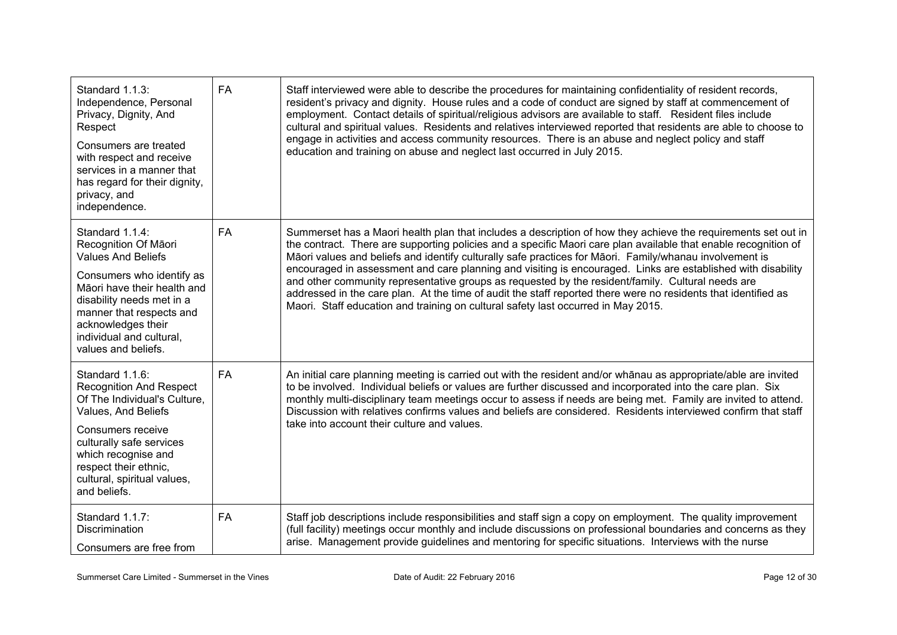| Standard 1.1.3:<br>Independence, Personal<br>Privacy, Dignity, And<br>Respect<br>Consumers are treated<br>with respect and receive<br>services in a manner that<br>has regard for their dignity,<br>privacy, and<br>independence.                                  | <b>FA</b> | Staff interviewed were able to describe the procedures for maintaining confidentiality of resident records,<br>resident's privacy and dignity. House rules and a code of conduct are signed by staff at commencement of<br>employment. Contact details of spiritual/religious advisors are available to staff. Resident files include<br>cultural and spiritual values. Residents and relatives interviewed reported that residents are able to choose to<br>engage in activities and access community resources. There is an abuse and neglect policy and staff<br>education and training on abuse and neglect last occurred in July 2015.                                                                                                                             |
|--------------------------------------------------------------------------------------------------------------------------------------------------------------------------------------------------------------------------------------------------------------------|-----------|-------------------------------------------------------------------------------------------------------------------------------------------------------------------------------------------------------------------------------------------------------------------------------------------------------------------------------------------------------------------------------------------------------------------------------------------------------------------------------------------------------------------------------------------------------------------------------------------------------------------------------------------------------------------------------------------------------------------------------------------------------------------------|
| Standard 1.1.4:<br>Recognition Of Māori<br><b>Values And Beliefs</b><br>Consumers who identify as<br>Māori have their health and<br>disability needs met in a<br>manner that respects and<br>acknowledges their<br>individual and cultural,<br>values and beliefs. | <b>FA</b> | Summerset has a Maori health plan that includes a description of how they achieve the requirements set out in<br>the contract. There are supporting policies and a specific Maori care plan available that enable recognition of<br>Māori values and beliefs and identify culturally safe practices for Māori. Family/whanau involvement is<br>encouraged in assessment and care planning and visiting is encouraged. Links are established with disability<br>and other community representative groups as requested by the resident/family. Cultural needs are<br>addressed in the care plan. At the time of audit the staff reported there were no residents that identified as<br>Maori. Staff education and training on cultural safety last occurred in May 2015. |
| Standard 1.1.6:<br><b>Recognition And Respect</b><br>Of The Individual's Culture,<br>Values, And Beliefs<br>Consumers receive<br>culturally safe services<br>which recognise and<br>respect their ethnic,<br>cultural, spiritual values,<br>and beliefs.           | <b>FA</b> | An initial care planning meeting is carried out with the resident and/or whanau as appropriate/able are invited<br>to be involved. Individual beliefs or values are further discussed and incorporated into the care plan. Six<br>monthly multi-disciplinary team meetings occur to assess if needs are being met. Family are invited to attend.<br>Discussion with relatives confirms values and beliefs are considered. Residents interviewed confirm that staff<br>take into account their culture and values.                                                                                                                                                                                                                                                       |
| Standard 1.1.7:<br>Discrimination<br>Consumers are free from                                                                                                                                                                                                       | FA        | Staff job descriptions include responsibilities and staff sign a copy on employment. The quality improvement<br>(full facility) meetings occur monthly and include discussions on professional boundaries and concerns as they<br>arise. Management provide guidelines and mentoring for specific situations. Interviews with the nurse                                                                                                                                                                                                                                                                                                                                                                                                                                 |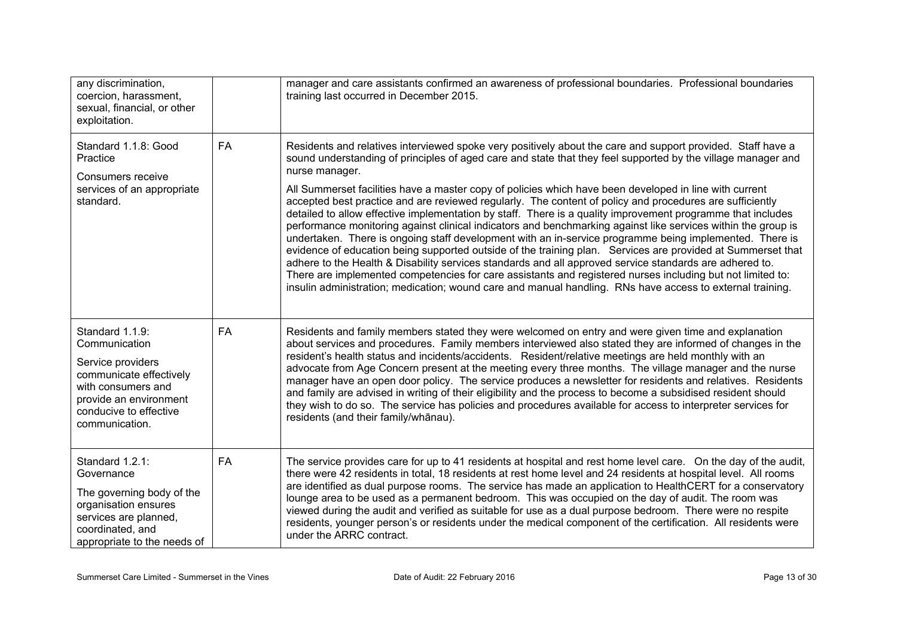| any discrimination,<br>coercion, harassment,<br>sexual, financial, or other<br>exploitation.                                                                                 |    | manager and care assistants confirmed an awareness of professional boundaries. Professional boundaries<br>training last occurred in December 2015.                                                                                                                                                                                                                                                                                                                                                                                                                                                                                                                                                                                                                                                                                                                                                                                                                                                                                                                                                                                                                                                                                                                  |
|------------------------------------------------------------------------------------------------------------------------------------------------------------------------------|----|---------------------------------------------------------------------------------------------------------------------------------------------------------------------------------------------------------------------------------------------------------------------------------------------------------------------------------------------------------------------------------------------------------------------------------------------------------------------------------------------------------------------------------------------------------------------------------------------------------------------------------------------------------------------------------------------------------------------------------------------------------------------------------------------------------------------------------------------------------------------------------------------------------------------------------------------------------------------------------------------------------------------------------------------------------------------------------------------------------------------------------------------------------------------------------------------------------------------------------------------------------------------|
| Standard 1.1.8: Good<br>Practice<br>Consumers receive<br>services of an appropriate<br>standard.                                                                             | FA | Residents and relatives interviewed spoke very positively about the care and support provided. Staff have a<br>sound understanding of principles of aged care and state that they feel supported by the village manager and<br>nurse manager.<br>All Summerset facilities have a master copy of policies which have been developed in line with current<br>accepted best practice and are reviewed regularly. The content of policy and procedures are sufficiently<br>detailed to allow effective implementation by staff. There is a quality improvement programme that includes<br>performance monitoring against clinical indicators and benchmarking against like services within the group is<br>undertaken. There is ongoing staff development with an in-service programme being implemented. There is<br>evidence of education being supported outside of the training plan. Services are provided at Summerset that<br>adhere to the Health & Disability services standards and all approved service standards are adhered to.<br>There are implemented competencies for care assistants and registered nurses including but not limited to:<br>insulin administration; medication; wound care and manual handling. RNs have access to external training. |
| Standard 1.1.9:<br>Communication<br>Service providers<br>communicate effectively<br>with consumers and<br>provide an environment<br>conducive to effective<br>communication. | FA | Residents and family members stated they were welcomed on entry and were given time and explanation<br>about services and procedures. Family members interviewed also stated they are informed of changes in the<br>resident's health status and incidents/accidents. Resident/relative meetings are held monthly with an<br>advocate from Age Concern present at the meeting every three months. The village manager and the nurse<br>manager have an open door policy. The service produces a newsletter for residents and relatives. Residents<br>and family are advised in writing of their eligibility and the process to become a subsidised resident should<br>they wish to do so. The service has policies and procedures available for access to interpreter services for<br>residents (and their family/whānau).                                                                                                                                                                                                                                                                                                                                                                                                                                          |
| Standard 1.2.1:<br>Governance<br>The governing body of the<br>organisation ensures<br>services are planned,<br>coordinated, and<br>appropriate to the needs of               | FA | The service provides care for up to 41 residents at hospital and rest home level care. On the day of the audit,<br>there were 42 residents in total, 18 residents at rest home level and 24 residents at hospital level. All rooms<br>are identified as dual purpose rooms. The service has made an application to HealthCERT for a conservatory<br>lounge area to be used as a permanent bedroom. This was occupied on the day of audit. The room was<br>viewed during the audit and verified as suitable for use as a dual purpose bedroom. There were no respite<br>residents, younger person's or residents under the medical component of the certification. All residents were<br>under the ARRC contract.                                                                                                                                                                                                                                                                                                                                                                                                                                                                                                                                                    |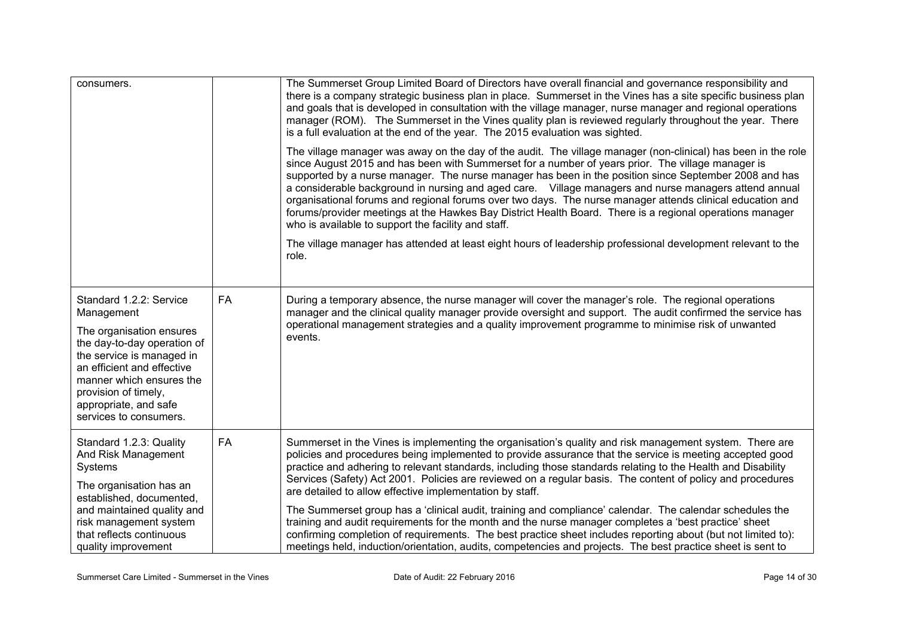| consumers.                                                                                                                                                                                                                                                         |           | The Summerset Group Limited Board of Directors have overall financial and governance responsibility and<br>there is a company strategic business plan in place. Summerset in the Vines has a site specific business plan<br>and goals that is developed in consultation with the village manager, nurse manager and regional operations<br>manager (ROM). The Summerset in the Vines quality plan is reviewed regularly throughout the year. There<br>is a full evaluation at the end of the year. The 2015 evaluation was sighted.                                                                                                                                                                                                                                                                                                                                                                                                                                |
|--------------------------------------------------------------------------------------------------------------------------------------------------------------------------------------------------------------------------------------------------------------------|-----------|--------------------------------------------------------------------------------------------------------------------------------------------------------------------------------------------------------------------------------------------------------------------------------------------------------------------------------------------------------------------------------------------------------------------------------------------------------------------------------------------------------------------------------------------------------------------------------------------------------------------------------------------------------------------------------------------------------------------------------------------------------------------------------------------------------------------------------------------------------------------------------------------------------------------------------------------------------------------|
|                                                                                                                                                                                                                                                                    |           | The village manager was away on the day of the audit. The village manager (non-clinical) has been in the role<br>since August 2015 and has been with Summerset for a number of years prior. The village manager is<br>supported by a nurse manager. The nurse manager has been in the position since September 2008 and has<br>a considerable background in nursing and aged care. Village managers and nurse managers attend annual<br>organisational forums and regional forums over two days. The nurse manager attends clinical education and<br>forums/provider meetings at the Hawkes Bay District Health Board. There is a regional operations manager<br>who is available to support the facility and staff.                                                                                                                                                                                                                                               |
|                                                                                                                                                                                                                                                                    |           | The village manager has attended at least eight hours of leadership professional development relevant to the<br>role.                                                                                                                                                                                                                                                                                                                                                                                                                                                                                                                                                                                                                                                                                                                                                                                                                                              |
| Standard 1.2.2: Service<br>Management<br>The organisation ensures<br>the day-to-day operation of<br>the service is managed in<br>an efficient and effective<br>manner which ensures the<br>provision of timely,<br>appropriate, and safe<br>services to consumers. | FA        | During a temporary absence, the nurse manager will cover the manager's role. The regional operations<br>manager and the clinical quality manager provide oversight and support. The audit confirmed the service has<br>operational management strategies and a quality improvement programme to minimise risk of unwanted<br>events.                                                                                                                                                                                                                                                                                                                                                                                                                                                                                                                                                                                                                               |
| Standard 1.2.3: Quality<br>And Risk Management<br>Systems<br>The organisation has an<br>established, documented,<br>and maintained quality and<br>risk management system<br>that reflects continuous<br>quality improvement                                        | <b>FA</b> | Summerset in the Vines is implementing the organisation's quality and risk management system. There are<br>policies and procedures being implemented to provide assurance that the service is meeting accepted good<br>practice and adhering to relevant standards, including those standards relating to the Health and Disability<br>Services (Safety) Act 2001. Policies are reviewed on a regular basis. The content of policy and procedures<br>are detailed to allow effective implementation by staff.<br>The Summerset group has a 'clinical audit, training and compliance' calendar. The calendar schedules the<br>training and audit requirements for the month and the nurse manager completes a 'best practice' sheet<br>confirming completion of requirements. The best practice sheet includes reporting about (but not limited to):<br>meetings held, induction/orientation, audits, competencies and projects. The best practice sheet is sent to |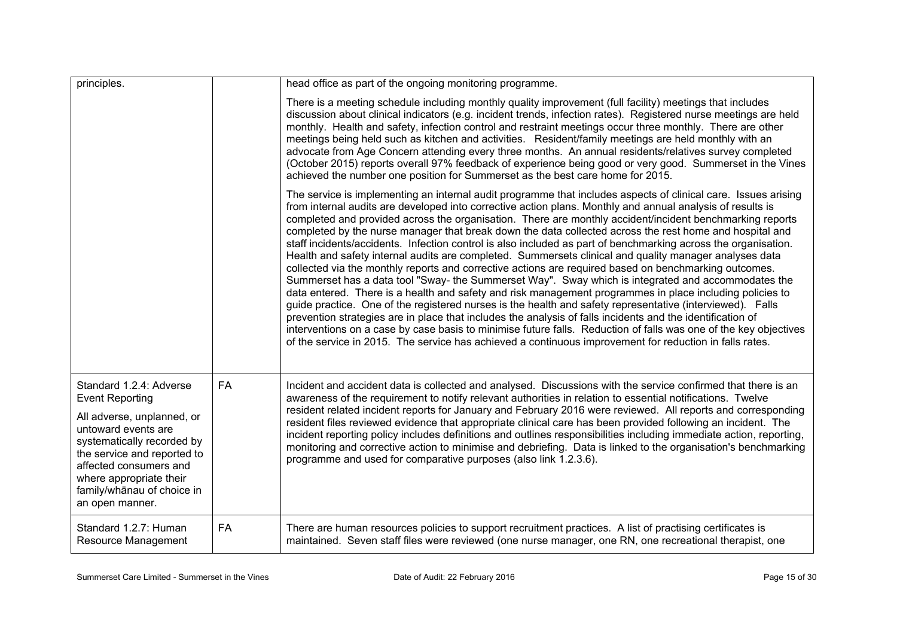| principles.                                                                                                                                                                                                                                                               |    | head office as part of the ongoing monitoring programme.                                                                                                                                                                                                                                                                                                                                                                                                                                                                                                                                                                                                                                                                                                                                                                                                                                                                                                                                                                                                                                                                                                                                                                                                                                                                                                                                                                                                             |
|---------------------------------------------------------------------------------------------------------------------------------------------------------------------------------------------------------------------------------------------------------------------------|----|----------------------------------------------------------------------------------------------------------------------------------------------------------------------------------------------------------------------------------------------------------------------------------------------------------------------------------------------------------------------------------------------------------------------------------------------------------------------------------------------------------------------------------------------------------------------------------------------------------------------------------------------------------------------------------------------------------------------------------------------------------------------------------------------------------------------------------------------------------------------------------------------------------------------------------------------------------------------------------------------------------------------------------------------------------------------------------------------------------------------------------------------------------------------------------------------------------------------------------------------------------------------------------------------------------------------------------------------------------------------------------------------------------------------------------------------------------------------|
|                                                                                                                                                                                                                                                                           |    | There is a meeting schedule including monthly quality improvement (full facility) meetings that includes<br>discussion about clinical indicators (e.g. incident trends, infection rates). Registered nurse meetings are held<br>monthly. Health and safety, infection control and restraint meetings occur three monthly. There are other<br>meetings being held such as kitchen and activities. Resident/family meetings are held monthly with an<br>advocate from Age Concern attending every three months. An annual residents/relatives survey completed<br>(October 2015) reports overall 97% feedback of experience being good or very good. Summerset in the Vines<br>achieved the number one position for Summerset as the best care home for 2015.                                                                                                                                                                                                                                                                                                                                                                                                                                                                                                                                                                                                                                                                                                          |
|                                                                                                                                                                                                                                                                           |    | The service is implementing an internal audit programme that includes aspects of clinical care. Issues arising<br>from internal audits are developed into corrective action plans. Monthly and annual analysis of results is<br>completed and provided across the organisation. There are monthly accident/incident benchmarking reports<br>completed by the nurse manager that break down the data collected across the rest home and hospital and<br>staff incidents/accidents. Infection control is also included as part of benchmarking across the organisation.<br>Health and safety internal audits are completed. Summersets clinical and quality manager analyses data<br>collected via the monthly reports and corrective actions are required based on benchmarking outcomes.<br>Summerset has a data tool "Sway- the Summerset Way". Sway which is integrated and accommodates the<br>data entered. There is a health and safety and risk management programmes in place including policies to<br>guide practice. One of the registered nurses is the health and safety representative (interviewed). Falls<br>prevention strategies are in place that includes the analysis of falls incidents and the identification of<br>interventions on a case by case basis to minimise future falls. Reduction of falls was one of the key objectives<br>of the service in 2015. The service has achieved a continuous improvement for reduction in falls rates. |
| Standard 1.2.4: Adverse<br><b>Event Reporting</b><br>All adverse, unplanned, or<br>untoward events are<br>systematically recorded by<br>the service and reported to<br>affected consumers and<br>where appropriate their<br>family/whānau of choice in<br>an open manner. | FA | Incident and accident data is collected and analysed. Discussions with the service confirmed that there is an<br>awareness of the requirement to notify relevant authorities in relation to essential notifications. Twelve<br>resident related incident reports for January and February 2016 were reviewed. All reports and corresponding<br>resident files reviewed evidence that appropriate clinical care has been provided following an incident. The<br>incident reporting policy includes definitions and outlines responsibilities including immediate action, reporting,<br>monitoring and corrective action to minimise and debriefing. Data is linked to the organisation's benchmarking<br>programme and used for comparative purposes (also link 1.2.3.6).                                                                                                                                                                                                                                                                                                                                                                                                                                                                                                                                                                                                                                                                                             |
| Standard 1.2.7: Human<br>Resource Management                                                                                                                                                                                                                              | FA | There are human resources policies to support recruitment practices. A list of practising certificates is<br>maintained. Seven staff files were reviewed (one nurse manager, one RN, one recreational therapist, one                                                                                                                                                                                                                                                                                                                                                                                                                                                                                                                                                                                                                                                                                                                                                                                                                                                                                                                                                                                                                                                                                                                                                                                                                                                 |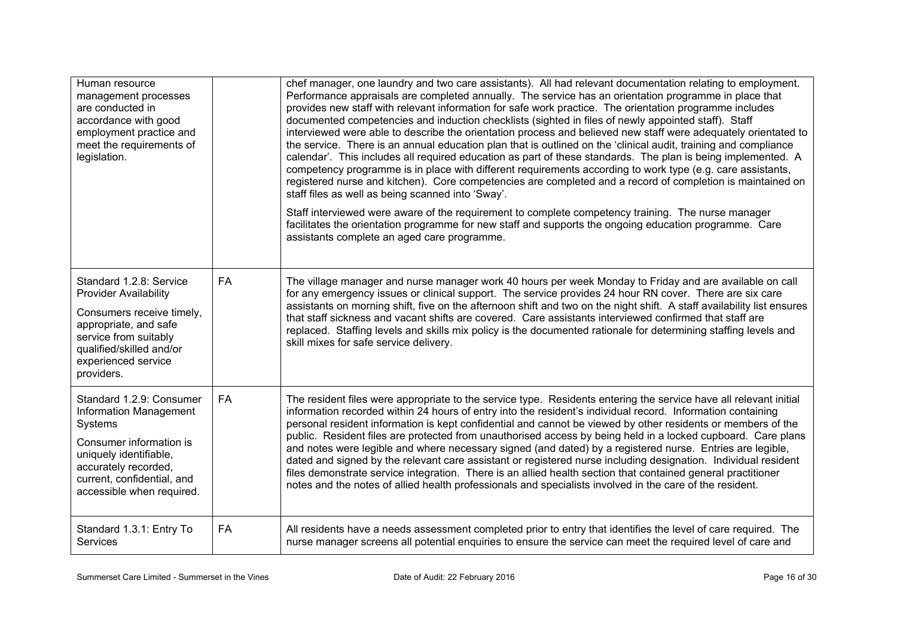| Human resource<br>management processes<br>are conducted in<br>accordance with good<br>employment practice and<br>meet the requirements of<br>legislation.                                                    |           | chef manager, one laundry and two care assistants). All had relevant documentation relating to employment.<br>Performance appraisals are completed annually. The service has an orientation programme in place that<br>provides new staff with relevant information for safe work practice. The orientation programme includes<br>documented competencies and induction checklists (sighted in files of newly appointed staff). Staff<br>interviewed were able to describe the orientation process and believed new staff were adequately orientated to<br>the service. There is an annual education plan that is outlined on the 'clinical audit, training and compliance<br>calendar'. This includes all required education as part of these standards. The plan is being implemented. A<br>competency programme is in place with different requirements according to work type (e.g. care assistants,<br>registered nurse and kitchen). Core competencies are completed and a record of completion is maintained on<br>staff files as well as being scanned into 'Sway'.<br>Staff interviewed were aware of the requirement to complete competency training. The nurse manager<br>facilitates the orientation programme for new staff and supports the ongoing education programme. Care<br>assistants complete an aged care programme. |
|--------------------------------------------------------------------------------------------------------------------------------------------------------------------------------------------------------------|-----------|--------------------------------------------------------------------------------------------------------------------------------------------------------------------------------------------------------------------------------------------------------------------------------------------------------------------------------------------------------------------------------------------------------------------------------------------------------------------------------------------------------------------------------------------------------------------------------------------------------------------------------------------------------------------------------------------------------------------------------------------------------------------------------------------------------------------------------------------------------------------------------------------------------------------------------------------------------------------------------------------------------------------------------------------------------------------------------------------------------------------------------------------------------------------------------------------------------------------------------------------------------------------------------------------------------------------------------------------|
| Standard 1.2.8: Service<br><b>Provider Availability</b><br>Consumers receive timely,<br>appropriate, and safe<br>service from suitably<br>qualified/skilled and/or<br>experienced service<br>providers.      | <b>FA</b> | The village manager and nurse manager work 40 hours per week Monday to Friday and are available on call<br>for any emergency issues or clinical support. The service provides 24 hour RN cover. There are six care<br>assistants on morning shift, five on the afternoon shift and two on the night shift. A staff availability list ensures<br>that staff sickness and vacant shifts are covered. Care assistants interviewed confirmed that staff are<br>replaced. Staffing levels and skills mix policy is the documented rationale for determining staffing levels and<br>skill mixes for safe service delivery.                                                                                                                                                                                                                                                                                                                                                                                                                                                                                                                                                                                                                                                                                                                       |
| Standard 1.2.9: Consumer<br><b>Information Management</b><br>Systems<br>Consumer information is<br>uniquely identifiable,<br>accurately recorded,<br>current, confidential, and<br>accessible when required. | <b>FA</b> | The resident files were appropriate to the service type. Residents entering the service have all relevant initial<br>information recorded within 24 hours of entry into the resident's individual record. Information containing<br>personal resident information is kept confidential and cannot be viewed by other residents or members of the<br>public. Resident files are protected from unauthorised access by being held in a locked cupboard. Care plans<br>and notes were legible and where necessary signed (and dated) by a registered nurse. Entries are legible,<br>dated and signed by the relevant care assistant or registered nurse including designation. Individual resident<br>files demonstrate service integration. There is an allied health section that contained general practitioner<br>notes and the notes of allied health professionals and specialists involved in the care of the resident.                                                                                                                                                                                                                                                                                                                                                                                                                |
| Standard 1.3.1: Entry To<br><b>Services</b>                                                                                                                                                                  | FA        | All residents have a needs assessment completed prior to entry that identifies the level of care required. The<br>nurse manager screens all potential enquiries to ensure the service can meet the required level of care and                                                                                                                                                                                                                                                                                                                                                                                                                                                                                                                                                                                                                                                                                                                                                                                                                                                                                                                                                                                                                                                                                                              |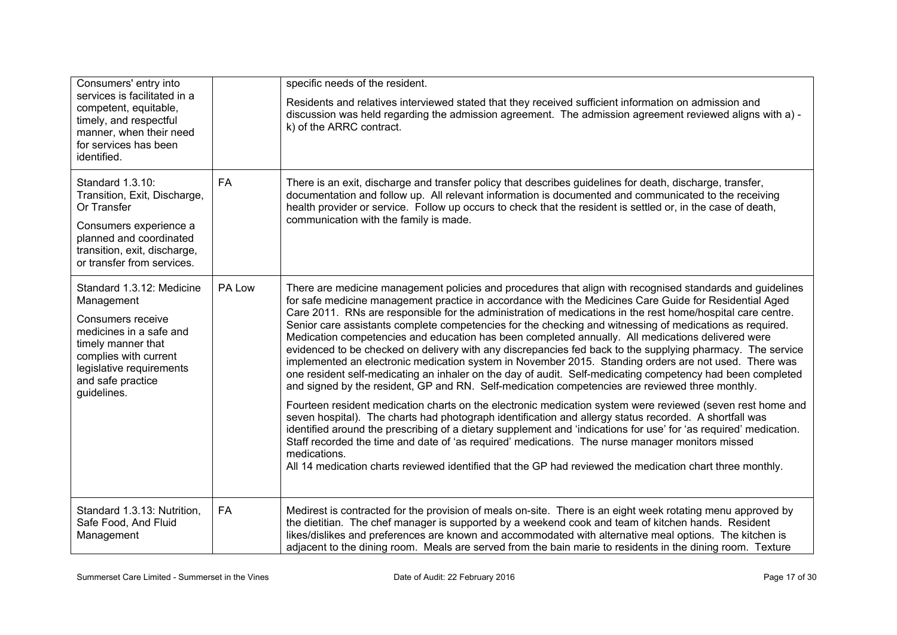| Consumers' entry into<br>services is facilitated in a<br>competent, equitable,<br>timely, and respectful<br>manner, when their need<br>for services has been<br>identified.                            |           | specific needs of the resident.<br>Residents and relatives interviewed stated that they received sufficient information on admission and<br>discussion was held regarding the admission agreement. The admission agreement reviewed aligns with a) -<br>k) of the ARRC contract.                                                                                                                                                                                                                                                                                                                                                                                                                                                                                                                                                                                                                                                                                                                                                                                                                                                                                                                                                                                                                                                                                                                                                                                                                                                                                          |
|--------------------------------------------------------------------------------------------------------------------------------------------------------------------------------------------------------|-----------|---------------------------------------------------------------------------------------------------------------------------------------------------------------------------------------------------------------------------------------------------------------------------------------------------------------------------------------------------------------------------------------------------------------------------------------------------------------------------------------------------------------------------------------------------------------------------------------------------------------------------------------------------------------------------------------------------------------------------------------------------------------------------------------------------------------------------------------------------------------------------------------------------------------------------------------------------------------------------------------------------------------------------------------------------------------------------------------------------------------------------------------------------------------------------------------------------------------------------------------------------------------------------------------------------------------------------------------------------------------------------------------------------------------------------------------------------------------------------------------------------------------------------------------------------------------------------|
| Standard 1.3.10:<br>Transition, Exit, Discharge,<br>Or Transfer<br>Consumers experience a<br>planned and coordinated<br>transition, exit, discharge,<br>or transfer from services.                     | FA        | There is an exit, discharge and transfer policy that describes guidelines for death, discharge, transfer,<br>documentation and follow up. All relevant information is documented and communicated to the receiving<br>health provider or service. Follow up occurs to check that the resident is settled or, in the case of death,<br>communication with the family is made.                                                                                                                                                                                                                                                                                                                                                                                                                                                                                                                                                                                                                                                                                                                                                                                                                                                                                                                                                                                                                                                                                                                                                                                              |
| Standard 1.3.12: Medicine<br>Management<br>Consumers receive<br>medicines in a safe and<br>timely manner that<br>complies with current<br>legislative requirements<br>and safe practice<br>guidelines. | PA Low    | There are medicine management policies and procedures that align with recognised standards and guidelines<br>for safe medicine management practice in accordance with the Medicines Care Guide for Residential Aged<br>Care 2011. RNs are responsible for the administration of medications in the rest home/hospital care centre.<br>Senior care assistants complete competencies for the checking and witnessing of medications as required.<br>Medication competencies and education has been completed annually. All medications delivered were<br>evidenced to be checked on delivery with any discrepancies fed back to the supplying pharmacy. The service<br>implemented an electronic medication system in November 2015. Standing orders are not used. There was<br>one resident self-medicating an inhaler on the day of audit. Self-medicating competency had been completed<br>and signed by the resident, GP and RN. Self-medication competencies are reviewed three monthly.<br>Fourteen resident medication charts on the electronic medication system were reviewed (seven rest home and<br>seven hospital). The charts had photograph identification and allergy status recorded. A shortfall was<br>identified around the prescribing of a dietary supplement and 'indications for use' for 'as required' medication.<br>Staff recorded the time and date of 'as required' medications. The nurse manager monitors missed<br>medications.<br>All 14 medication charts reviewed identified that the GP had reviewed the medication chart three monthly. |
| Standard 1.3.13: Nutrition,<br>Safe Food, And Fluid<br>Management                                                                                                                                      | <b>FA</b> | Medirest is contracted for the provision of meals on-site. There is an eight week rotating menu approved by<br>the dietitian. The chef manager is supported by a weekend cook and team of kitchen hands. Resident<br>likes/dislikes and preferences are known and accommodated with alternative meal options. The kitchen is<br>adjacent to the dining room. Meals are served from the bain marie to residents in the dining room. Texture                                                                                                                                                                                                                                                                                                                                                                                                                                                                                                                                                                                                                                                                                                                                                                                                                                                                                                                                                                                                                                                                                                                                |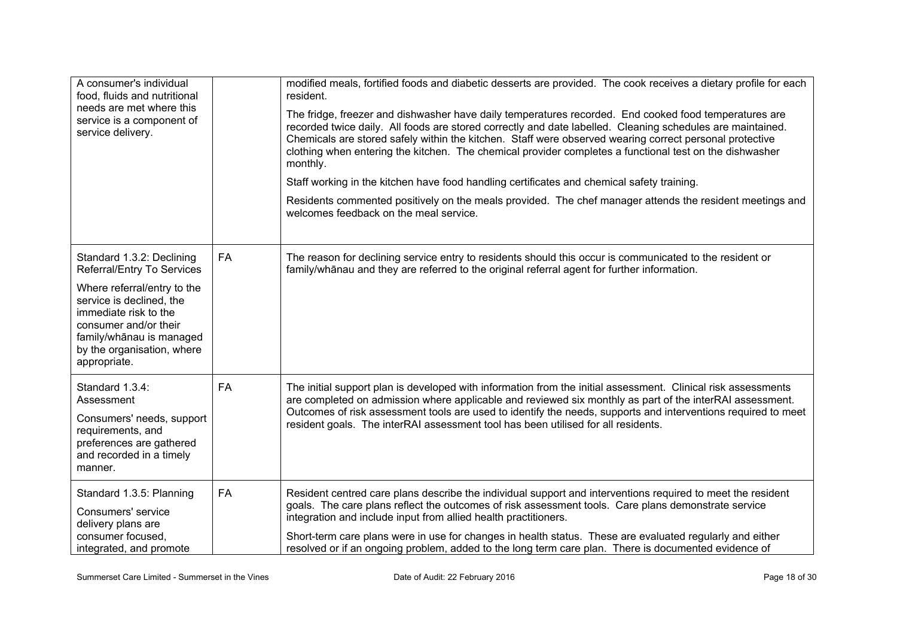| A consumer's individual<br>food, fluids and nutritional<br>needs are met where this<br>service is a component of<br>service delivery.                                                                                                          |           | modified meals, fortified foods and diabetic desserts are provided. The cook receives a dietary profile for each<br>resident.<br>The fridge, freezer and dishwasher have daily temperatures recorded. End cooked food temperatures are<br>recorded twice daily. All foods are stored correctly and date labelled. Cleaning schedules are maintained.<br>Chemicals are stored safely within the kitchen. Staff were observed wearing correct personal protective<br>clothing when entering the kitchen. The chemical provider completes a functional test on the dishwasher<br>monthly.<br>Staff working in the kitchen have food handling certificates and chemical safety training.<br>Residents commented positively on the meals provided. The chef manager attends the resident meetings and<br>welcomes feedback on the meal service. |
|------------------------------------------------------------------------------------------------------------------------------------------------------------------------------------------------------------------------------------------------|-----------|--------------------------------------------------------------------------------------------------------------------------------------------------------------------------------------------------------------------------------------------------------------------------------------------------------------------------------------------------------------------------------------------------------------------------------------------------------------------------------------------------------------------------------------------------------------------------------------------------------------------------------------------------------------------------------------------------------------------------------------------------------------------------------------------------------------------------------------------|
| Standard 1.3.2: Declining<br>Referral/Entry To Services<br>Where referral/entry to the<br>service is declined, the<br>immediate risk to the<br>consumer and/or their<br>family/whānau is managed<br>by the organisation, where<br>appropriate. | <b>FA</b> | The reason for declining service entry to residents should this occur is communicated to the resident or<br>family/whānau and they are referred to the original referral agent for further information.                                                                                                                                                                                                                                                                                                                                                                                                                                                                                                                                                                                                                                    |
| Standard 1.3.4:<br>Assessment<br>Consumers' needs, support<br>requirements, and<br>preferences are gathered<br>and recorded in a timely<br>manner.                                                                                             | <b>FA</b> | The initial support plan is developed with information from the initial assessment. Clinical risk assessments<br>are completed on admission where applicable and reviewed six monthly as part of the interRAI assessment.<br>Outcomes of risk assessment tools are used to identify the needs, supports and interventions required to meet<br>resident goals. The interRAI assessment tool has been utilised for all residents.                                                                                                                                                                                                                                                                                                                                                                                                            |
| Standard 1.3.5: Planning<br>Consumers' service<br>delivery plans are<br>consumer focused.<br>integrated, and promote                                                                                                                           | <b>FA</b> | Resident centred care plans describe the individual support and interventions required to meet the resident<br>goals. The care plans reflect the outcomes of risk assessment tools. Care plans demonstrate service<br>integration and include input from allied health practitioners.<br>Short-term care plans were in use for changes in health status. These are evaluated regularly and either<br>resolved or if an ongoing problem, added to the long term care plan. There is documented evidence of                                                                                                                                                                                                                                                                                                                                  |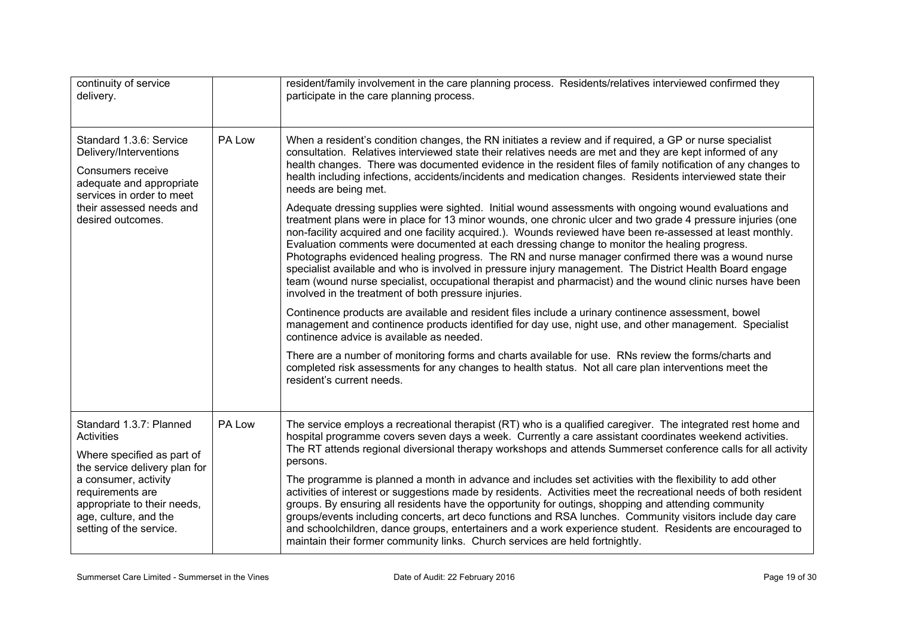| continuity of service<br>delivery.                                                                                                                                                                                                         |        | resident/family involvement in the care planning process. Residents/relatives interviewed confirmed they<br>participate in the care planning process.                                                                                                                                                                                                                                                                                                                                                                                                                                                                                                                                                                                                                                                                                                                                                                                                                                                                                                                                                                                                                                                                                                                                                                                                                                                                                                                                                                                                                                                                                                                                                                                                                                                                 |
|--------------------------------------------------------------------------------------------------------------------------------------------------------------------------------------------------------------------------------------------|--------|-----------------------------------------------------------------------------------------------------------------------------------------------------------------------------------------------------------------------------------------------------------------------------------------------------------------------------------------------------------------------------------------------------------------------------------------------------------------------------------------------------------------------------------------------------------------------------------------------------------------------------------------------------------------------------------------------------------------------------------------------------------------------------------------------------------------------------------------------------------------------------------------------------------------------------------------------------------------------------------------------------------------------------------------------------------------------------------------------------------------------------------------------------------------------------------------------------------------------------------------------------------------------------------------------------------------------------------------------------------------------------------------------------------------------------------------------------------------------------------------------------------------------------------------------------------------------------------------------------------------------------------------------------------------------------------------------------------------------------------------------------------------------------------------------------------------------|
| Standard 1.3.6: Service<br>Delivery/Interventions<br>Consumers receive<br>adequate and appropriate<br>services in order to meet<br>their assessed needs and<br>desired outcomes.                                                           | PA Low | When a resident's condition changes, the RN initiates a review and if required, a GP or nurse specialist<br>consultation. Relatives interviewed state their relatives needs are met and they are kept informed of any<br>health changes. There was documented evidence in the resident files of family notification of any changes to<br>health including infections, accidents/incidents and medication changes. Residents interviewed state their<br>needs are being met.<br>Adequate dressing supplies were sighted. Initial wound assessments with ongoing wound evaluations and<br>treatment plans were in place for 13 minor wounds, one chronic ulcer and two grade 4 pressure injuries (one<br>non-facility acquired and one facility acquired.). Wounds reviewed have been re-assessed at least monthly.<br>Evaluation comments were documented at each dressing change to monitor the healing progress.<br>Photographs evidenced healing progress. The RN and nurse manager confirmed there was a wound nurse<br>specialist available and who is involved in pressure injury management. The District Health Board engage<br>team (wound nurse specialist, occupational therapist and pharmacist) and the wound clinic nurses have been<br>involved in the treatment of both pressure injuries.<br>Continence products are available and resident files include a urinary continence assessment, bowel<br>management and continence products identified for day use, night use, and other management. Specialist<br>continence advice is available as needed.<br>There are a number of monitoring forms and charts available for use. RNs review the forms/charts and<br>completed risk assessments for any changes to health status. Not all care plan interventions meet the<br>resident's current needs. |
| Standard 1.3.7: Planned<br><b>Activities</b><br>Where specified as part of<br>the service delivery plan for<br>a consumer, activity<br>requirements are<br>appropriate to their needs,<br>age, culture, and the<br>setting of the service. | PA Low | The service employs a recreational therapist (RT) who is a qualified caregiver. The integrated rest home and<br>hospital programme covers seven days a week. Currently a care assistant coordinates weekend activities.<br>The RT attends regional diversional therapy workshops and attends Summerset conference calls for all activity<br>persons.<br>The programme is planned a month in advance and includes set activities with the flexibility to add other<br>activities of interest or suggestions made by residents. Activities meet the recreational needs of both resident<br>groups. By ensuring all residents have the opportunity for outings, shopping and attending community<br>groups/events including concerts, art deco functions and RSA lunches. Community visitors include day care<br>and schoolchildren, dance groups, entertainers and a work experience student. Residents are encouraged to<br>maintain their former community links. Church services are held fortnightly.                                                                                                                                                                                                                                                                                                                                                                                                                                                                                                                                                                                                                                                                                                                                                                                                               |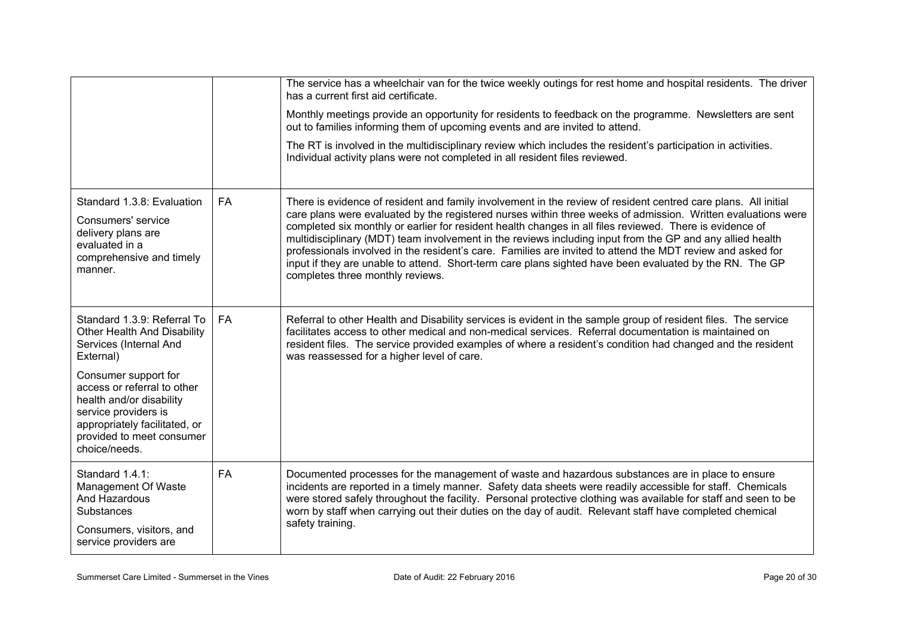|                                                                                                                                                                |           | The service has a wheelchair van for the twice weekly outings for rest home and hospital residents. The driver<br>has a current first aid certificate.                                                                                                                                                                                                                                                                                                                                                                                                                                                                                                                                                               |
|----------------------------------------------------------------------------------------------------------------------------------------------------------------|-----------|----------------------------------------------------------------------------------------------------------------------------------------------------------------------------------------------------------------------------------------------------------------------------------------------------------------------------------------------------------------------------------------------------------------------------------------------------------------------------------------------------------------------------------------------------------------------------------------------------------------------------------------------------------------------------------------------------------------------|
|                                                                                                                                                                |           | Monthly meetings provide an opportunity for residents to feedback on the programme. Newsletters are sent<br>out to families informing them of upcoming events and are invited to attend.                                                                                                                                                                                                                                                                                                                                                                                                                                                                                                                             |
|                                                                                                                                                                |           | The RT is involved in the multidisciplinary review which includes the resident's participation in activities.<br>Individual activity plans were not completed in all resident files reviewed.                                                                                                                                                                                                                                                                                                                                                                                                                                                                                                                        |
| Standard 1.3.8: Evaluation<br>Consumers' service<br>delivery plans are<br>evaluated in a<br>comprehensive and timely<br>manner.                                | <b>FA</b> | There is evidence of resident and family involvement in the review of resident centred care plans. All initial<br>care plans were evaluated by the registered nurses within three weeks of admission. Written evaluations were<br>completed six monthly or earlier for resident health changes in all files reviewed. There is evidence of<br>multidisciplinary (MDT) team involvement in the reviews including input from the GP and any allied health<br>professionals involved in the resident's care. Families are invited to attend the MDT review and asked for<br>input if they are unable to attend. Short-term care plans sighted have been evaluated by the RN. The GP<br>completes three monthly reviews. |
| Standard 1.3.9: Referral To<br>Other Health And Disability<br>Services (Internal And<br>External)<br>Consumer support for                                      | <b>FA</b> | Referral to other Health and Disability services is evident in the sample group of resident files. The service<br>facilitates access to other medical and non-medical services. Referral documentation is maintained on<br>resident files. The service provided examples of where a resident's condition had changed and the resident<br>was reassessed for a higher level of care.                                                                                                                                                                                                                                                                                                                                  |
| access or referral to other<br>health and/or disability<br>service providers is<br>appropriately facilitated, or<br>provided to meet consumer<br>choice/needs. |           |                                                                                                                                                                                                                                                                                                                                                                                                                                                                                                                                                                                                                                                                                                                      |
| Standard 1.4.1:<br>Management Of Waste<br>And Hazardous<br><b>Substances</b>                                                                                   | FA        | Documented processes for the management of waste and hazardous substances are in place to ensure<br>incidents are reported in a timely manner. Safety data sheets were readily accessible for staff. Chemicals<br>were stored safely throughout the facility. Personal protective clothing was available for staff and seen to be<br>worn by staff when carrying out their duties on the day of audit. Relevant staff have completed chemical                                                                                                                                                                                                                                                                        |
| Consumers, visitors, and<br>service providers are                                                                                                              |           | safety training.                                                                                                                                                                                                                                                                                                                                                                                                                                                                                                                                                                                                                                                                                                     |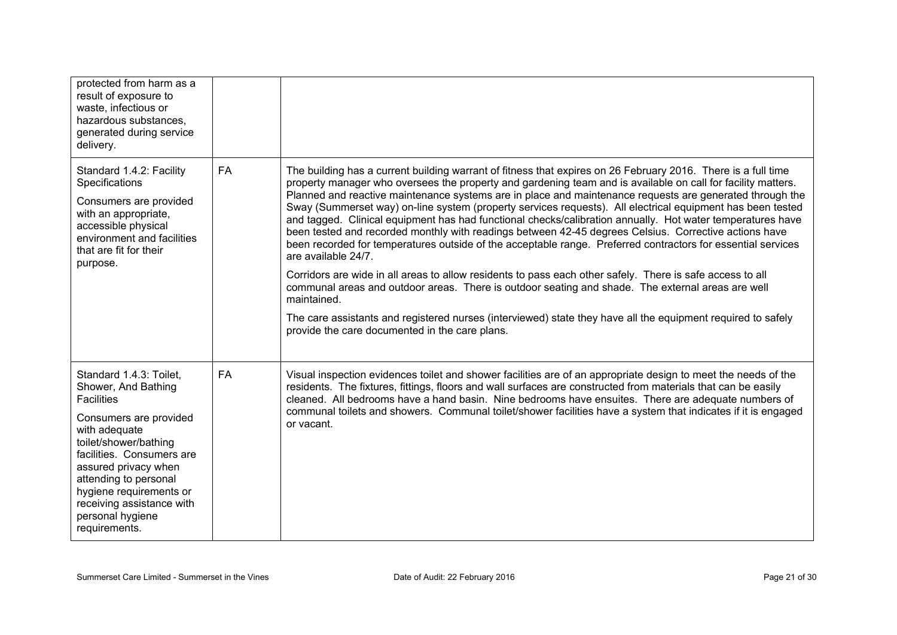| protected from harm as a<br>result of exposure to<br>waste, infectious or<br>hazardous substances,<br>generated during service<br>delivery.                                                                                                                                                                        |    |                                                                                                                                                                                                                                                                                                                                                                                                                                                                                                                                                                                                                                                                                                                                                                                                                                                                                                                                                                                                                                                                                                                                                                                                                          |
|--------------------------------------------------------------------------------------------------------------------------------------------------------------------------------------------------------------------------------------------------------------------------------------------------------------------|----|--------------------------------------------------------------------------------------------------------------------------------------------------------------------------------------------------------------------------------------------------------------------------------------------------------------------------------------------------------------------------------------------------------------------------------------------------------------------------------------------------------------------------------------------------------------------------------------------------------------------------------------------------------------------------------------------------------------------------------------------------------------------------------------------------------------------------------------------------------------------------------------------------------------------------------------------------------------------------------------------------------------------------------------------------------------------------------------------------------------------------------------------------------------------------------------------------------------------------|
| Standard 1.4.2: Facility<br>Specifications<br>Consumers are provided<br>with an appropriate,<br>accessible physical<br>environment and facilities<br>that are fit for their<br>purpose.                                                                                                                            | FA | The building has a current building warrant of fitness that expires on 26 February 2016. There is a full time<br>property manager who oversees the property and gardening team and is available on call for facility matters.<br>Planned and reactive maintenance systems are in place and maintenance requests are generated through the<br>Sway (Summerset way) on-line system (property services requests). All electrical equipment has been tested<br>and tagged. Clinical equipment has had functional checks/calibration annually. Hot water temperatures have<br>been tested and recorded monthly with readings between 42-45 degrees Celsius. Corrective actions have<br>been recorded for temperatures outside of the acceptable range. Preferred contractors for essential services<br>are available 24/7.<br>Corridors are wide in all areas to allow residents to pass each other safely. There is safe access to all<br>communal areas and outdoor areas. There is outdoor seating and shade. The external areas are well<br>maintained.<br>The care assistants and registered nurses (interviewed) state they have all the equipment required to safely<br>provide the care documented in the care plans. |
| Standard 1.4.3: Toilet,<br>Shower, And Bathing<br><b>Facilities</b><br>Consumers are provided<br>with adequate<br>toilet/shower/bathing<br>facilities. Consumers are<br>assured privacy when<br>attending to personal<br>hygiene requirements or<br>receiving assistance with<br>personal hygiene<br>requirements. | FA | Visual inspection evidences toilet and shower facilities are of an appropriate design to meet the needs of the<br>residents. The fixtures, fittings, floors and wall surfaces are constructed from materials that can be easily<br>cleaned. All bedrooms have a hand basin. Nine bedrooms have ensuites. There are adequate numbers of<br>communal toilets and showers. Communal toilet/shower facilities have a system that indicates if it is engaged<br>or vacant.                                                                                                                                                                                                                                                                                                                                                                                                                                                                                                                                                                                                                                                                                                                                                    |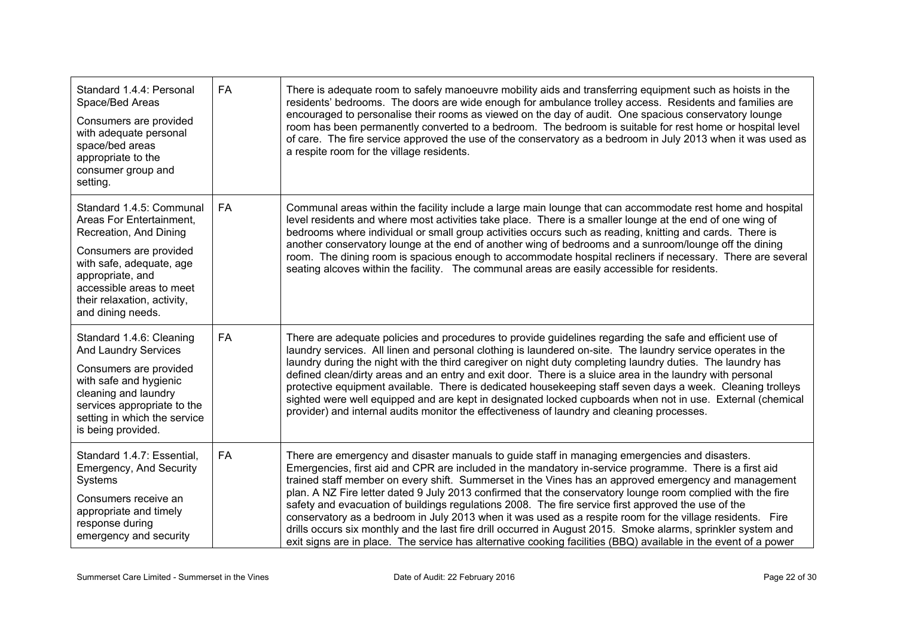| Standard 1.4.4: Personal<br>Space/Bed Areas<br>Consumers are provided<br>with adequate personal<br>space/bed areas<br>appropriate to the<br>consumer group and<br>setting.                                                               | <b>FA</b> | There is adequate room to safely manoeuvre mobility aids and transferring equipment such as hoists in the<br>residents' bedrooms. The doors are wide enough for ambulance trolley access. Residents and families are<br>encouraged to personalise their rooms as viewed on the day of audit. One spacious conservatory lounge<br>room has been permanently converted to a bedroom. The bedroom is suitable for rest home or hospital level<br>of care. The fire service approved the use of the conservatory as a bedroom in July 2013 when it was used as<br>a respite room for the village residents.                                                                                                                                                                                                                                                                                  |
|------------------------------------------------------------------------------------------------------------------------------------------------------------------------------------------------------------------------------------------|-----------|------------------------------------------------------------------------------------------------------------------------------------------------------------------------------------------------------------------------------------------------------------------------------------------------------------------------------------------------------------------------------------------------------------------------------------------------------------------------------------------------------------------------------------------------------------------------------------------------------------------------------------------------------------------------------------------------------------------------------------------------------------------------------------------------------------------------------------------------------------------------------------------|
| Standard 1.4.5: Communal<br>Areas For Entertainment.<br>Recreation, And Dining<br>Consumers are provided<br>with safe, adequate, age<br>appropriate, and<br>accessible areas to meet<br>their relaxation, activity,<br>and dining needs. | FA        | Communal areas within the facility include a large main lounge that can accommodate rest home and hospital<br>level residents and where most activities take place. There is a smaller lounge at the end of one wing of<br>bedrooms where individual or small group activities occurs such as reading, knitting and cards. There is<br>another conservatory lounge at the end of another wing of bedrooms and a sunroom/lounge off the dining<br>room. The dining room is spacious enough to accommodate hospital recliners if necessary. There are several<br>seating alcoves within the facility. The communal areas are easily accessible for residents.                                                                                                                                                                                                                              |
| Standard 1.4.6: Cleaning<br><b>And Laundry Services</b><br>Consumers are provided<br>with safe and hygienic<br>cleaning and laundry<br>services appropriate to the<br>setting in which the service<br>is being provided.                 | FA        | There are adequate policies and procedures to provide guidelines regarding the safe and efficient use of<br>laundry services. All linen and personal clothing is laundered on-site. The laundry service operates in the<br>laundry during the night with the third caregiver on night duty completing laundry duties. The laundry has<br>defined clean/dirty areas and an entry and exit door. There is a sluice area in the laundry with personal<br>protective equipment available. There is dedicated housekeeping staff seven days a week. Cleaning trolleys<br>sighted were well equipped and are kept in designated locked cupboards when not in use. External (chemical<br>provider) and internal audits monitor the effectiveness of laundry and cleaning processes.                                                                                                             |
| Standard 1.4.7: Essential,<br>Emergency, And Security<br>Systems<br>Consumers receive an<br>appropriate and timely<br>response during<br>emergency and security                                                                          | <b>FA</b> | There are emergency and disaster manuals to guide staff in managing emergencies and disasters.<br>Emergencies, first aid and CPR are included in the mandatory in-service programme. There is a first aid<br>trained staff member on every shift. Summerset in the Vines has an approved emergency and management<br>plan. A NZ Fire letter dated 9 July 2013 confirmed that the conservatory lounge room complied with the fire<br>safety and evacuation of buildings regulations 2008. The fire service first approved the use of the<br>conservatory as a bedroom in July 2013 when it was used as a respite room for the village residents. Fire<br>drills occurs six monthly and the last fire drill occurred in August 2015. Smoke alarms, sprinkler system and<br>exit signs are in place. The service has alternative cooking facilities (BBQ) available in the event of a power |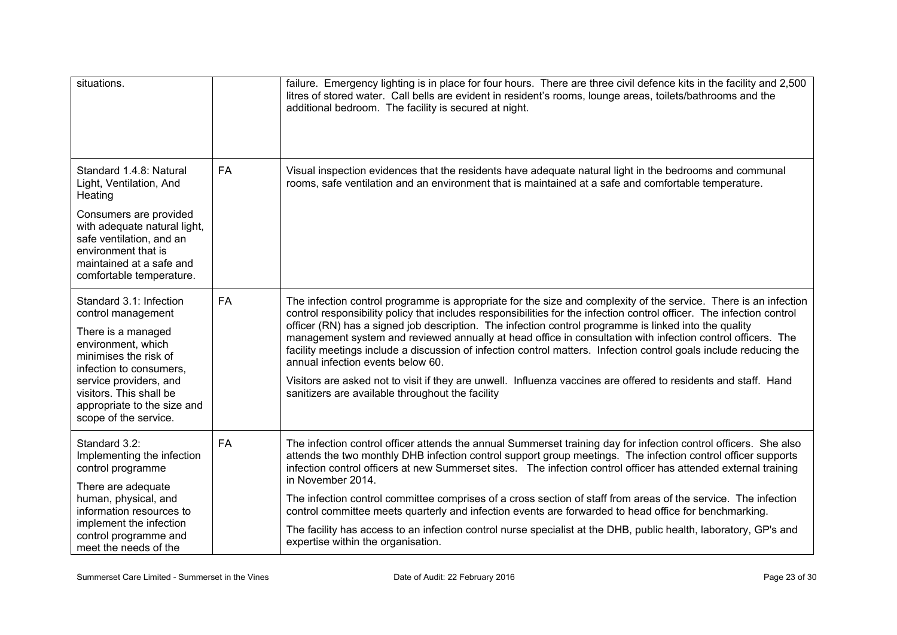| situations.                                                                                                                                                                                                                                                |           | failure. Emergency lighting is in place for four hours. There are three civil defence kits in the facility and 2,500<br>litres of stored water. Call bells are evident in resident's rooms, lounge areas, toilets/bathrooms and the<br>additional bedroom. The facility is secured at night.                                                                                                                                                                                                                                                                                                                                                                                                                                                                                                       |
|------------------------------------------------------------------------------------------------------------------------------------------------------------------------------------------------------------------------------------------------------------|-----------|----------------------------------------------------------------------------------------------------------------------------------------------------------------------------------------------------------------------------------------------------------------------------------------------------------------------------------------------------------------------------------------------------------------------------------------------------------------------------------------------------------------------------------------------------------------------------------------------------------------------------------------------------------------------------------------------------------------------------------------------------------------------------------------------------|
| Standard 1.4.8: Natural<br>Light, Ventilation, And<br>Heating<br>Consumers are provided<br>with adequate natural light,<br>safe ventilation, and an<br>environment that is<br>maintained at a safe and<br>comfortable temperature.                         | <b>FA</b> | Visual inspection evidences that the residents have adequate natural light in the bedrooms and communal<br>rooms, safe ventilation and an environment that is maintained at a safe and comfortable temperature.                                                                                                                                                                                                                                                                                                                                                                                                                                                                                                                                                                                    |
| Standard 3.1: Infection<br>control management<br>There is a managed<br>environment, which<br>minimises the risk of<br>infection to consumers,<br>service providers, and<br>visitors. This shall be<br>appropriate to the size and<br>scope of the service. | <b>FA</b> | The infection control programme is appropriate for the size and complexity of the service. There is an infection<br>control responsibility policy that includes responsibilities for the infection control officer. The infection control<br>officer (RN) has a signed job description. The infection control programme is linked into the quality<br>management system and reviewed annually at head office in consultation with infection control officers. The<br>facility meetings include a discussion of infection control matters. Infection control goals include reducing the<br>annual infection events below 60.<br>Visitors are asked not to visit if they are unwell. Influenza vaccines are offered to residents and staff. Hand<br>sanitizers are available throughout the facility |
| Standard 3.2:<br>Implementing the infection<br>control programme<br>There are adequate<br>human, physical, and<br>information resources to<br>implement the infection<br>control programme and<br>meet the needs of the                                    | FA        | The infection control officer attends the annual Summerset training day for infection control officers. She also<br>attends the two monthly DHB infection control support group meetings. The infection control officer supports<br>infection control officers at new Summerset sites. The infection control officer has attended external training<br>in November 2014.<br>The infection control committee comprises of a cross section of staff from areas of the service. The infection<br>control committee meets quarterly and infection events are forwarded to head office for benchmarking.<br>The facility has access to an infection control nurse specialist at the DHB, public health, laboratory, GP's and<br>expertise within the organisation.                                      |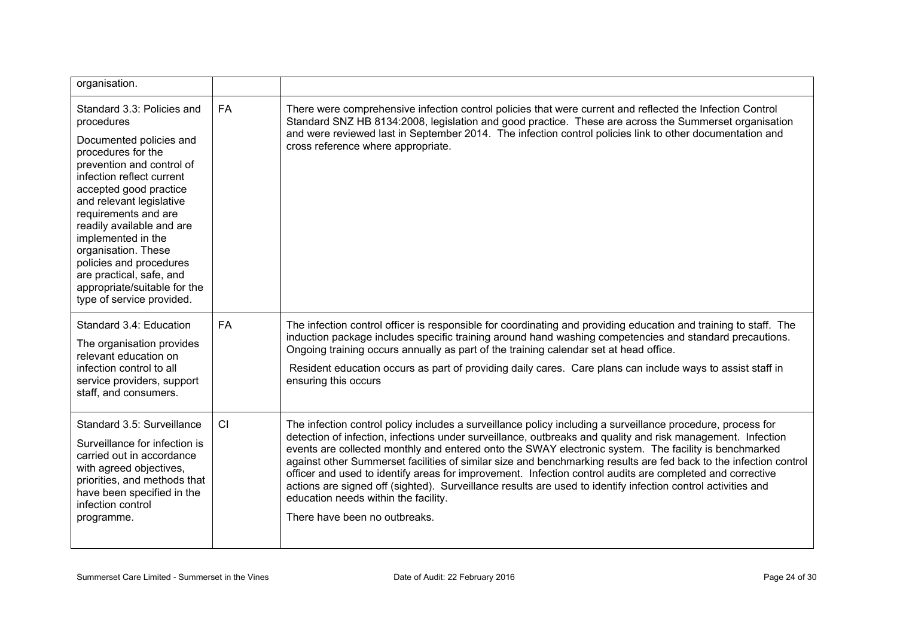| organisation.                                                                                                                                                                                                                                                                                                                                                                                                                   |           |                                                                                                                                                                                                                                                                                                                                                                                                                                                                                                                                                                                                                                                                                                                                                                |
|---------------------------------------------------------------------------------------------------------------------------------------------------------------------------------------------------------------------------------------------------------------------------------------------------------------------------------------------------------------------------------------------------------------------------------|-----------|----------------------------------------------------------------------------------------------------------------------------------------------------------------------------------------------------------------------------------------------------------------------------------------------------------------------------------------------------------------------------------------------------------------------------------------------------------------------------------------------------------------------------------------------------------------------------------------------------------------------------------------------------------------------------------------------------------------------------------------------------------------|
| Standard 3.3: Policies and<br>procedures<br>Documented policies and<br>procedures for the<br>prevention and control of<br>infection reflect current<br>accepted good practice<br>and relevant legislative<br>requirements and are<br>readily available and are<br>implemented in the<br>organisation. These<br>policies and procedures<br>are practical, safe, and<br>appropriate/suitable for the<br>type of service provided. | <b>FA</b> | There were comprehensive infection control policies that were current and reflected the Infection Control<br>Standard SNZ HB 8134:2008, legislation and good practice. These are across the Summerset organisation<br>and were reviewed last in September 2014. The infection control policies link to other documentation and<br>cross reference where appropriate.                                                                                                                                                                                                                                                                                                                                                                                           |
| Standard 3.4: Education<br>The organisation provides<br>relevant education on<br>infection control to all<br>service providers, support<br>staff, and consumers.                                                                                                                                                                                                                                                                | <b>FA</b> | The infection control officer is responsible for coordinating and providing education and training to staff. The<br>induction package includes specific training around hand washing competencies and standard precautions.<br>Ongoing training occurs annually as part of the training calendar set at head office.<br>Resident education occurs as part of providing daily cares. Care plans can include ways to assist staff in<br>ensuring this occurs                                                                                                                                                                                                                                                                                                     |
| Standard 3.5: Surveillance<br>Surveillance for infection is<br>carried out in accordance<br>with agreed objectives,<br>priorities, and methods that<br>have been specified in the<br>infection control<br>programme.                                                                                                                                                                                                            | CI        | The infection control policy includes a surveillance policy including a surveillance procedure, process for<br>detection of infection, infections under surveillance, outbreaks and quality and risk management. Infection<br>events are collected monthly and entered onto the SWAY electronic system. The facility is benchmarked<br>against other Summerset facilities of similar size and benchmarking results are fed back to the infection control<br>officer and used to identify areas for improvement. Infection control audits are completed and corrective<br>actions are signed off (sighted). Surveillance results are used to identify infection control activities and<br>education needs within the facility.<br>There have been no outbreaks. |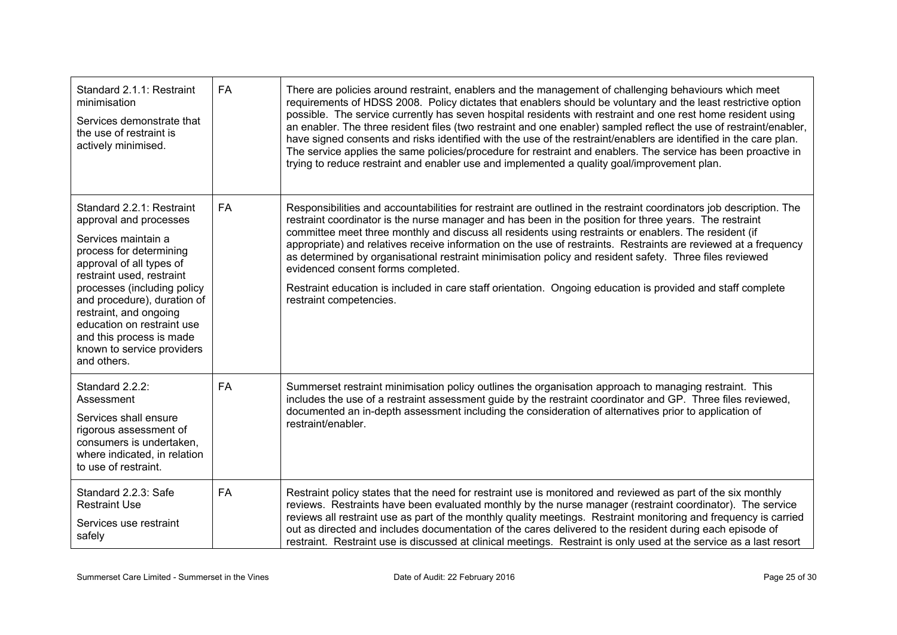| Standard 2.1.1: Restraint<br>minimisation<br>Services demonstrate that<br>the use of restraint is<br>actively minimised.                                                                                                                                                                                                                                      | <b>FA</b> | There are policies around restraint, enablers and the management of challenging behaviours which meet<br>requirements of HDSS 2008. Policy dictates that enablers should be voluntary and the least restrictive option<br>possible. The service currently has seven hospital residents with restraint and one rest home resident using<br>an enabler. The three resident files (two restraint and one enabler) sampled reflect the use of restraint/enabler,<br>have signed consents and risks identified with the use of the restraint/enablers are identified in the care plan.<br>The service applies the same policies/procedure for restraint and enablers. The service has been proactive in<br>trying to reduce restraint and enabler use and implemented a quality goal/improvement plan. |
|---------------------------------------------------------------------------------------------------------------------------------------------------------------------------------------------------------------------------------------------------------------------------------------------------------------------------------------------------------------|-----------|---------------------------------------------------------------------------------------------------------------------------------------------------------------------------------------------------------------------------------------------------------------------------------------------------------------------------------------------------------------------------------------------------------------------------------------------------------------------------------------------------------------------------------------------------------------------------------------------------------------------------------------------------------------------------------------------------------------------------------------------------------------------------------------------------|
| Standard 2.2.1: Restraint<br>approval and processes<br>Services maintain a<br>process for determining<br>approval of all types of<br>restraint used, restraint<br>processes (including policy<br>and procedure), duration of<br>restraint, and ongoing<br>education on restraint use<br>and this process is made<br>known to service providers<br>and others. | <b>FA</b> | Responsibilities and accountabilities for restraint are outlined in the restraint coordinators job description. The<br>restraint coordinator is the nurse manager and has been in the position for three years. The restraint<br>committee meet three monthly and discuss all residents using restraints or enablers. The resident (if<br>appropriate) and relatives receive information on the use of restraints. Restraints are reviewed at a frequency<br>as determined by organisational restraint minimisation policy and resident safety. Three files reviewed<br>evidenced consent forms completed.<br>Restraint education is included in care staff orientation. Ongoing education is provided and staff complete<br>restraint competencies.                                              |
| Standard 2.2.2:<br>Assessment<br>Services shall ensure<br>rigorous assessment of<br>consumers is undertaken,<br>where indicated, in relation<br>to use of restraint.                                                                                                                                                                                          | FA        | Summerset restraint minimisation policy outlines the organisation approach to managing restraint. This<br>includes the use of a restraint assessment guide by the restraint coordinator and GP. Three files reviewed,<br>documented an in-depth assessment including the consideration of alternatives prior to application of<br>restraint/enabler.                                                                                                                                                                                                                                                                                                                                                                                                                                              |
| Standard 2.2.3: Safe<br><b>Restraint Use</b><br>Services use restraint<br>safely                                                                                                                                                                                                                                                                              | FA        | Restraint policy states that the need for restraint use is monitored and reviewed as part of the six monthly<br>reviews. Restraints have been evaluated monthly by the nurse manager (restraint coordinator). The service<br>reviews all restraint use as part of the monthly quality meetings. Restraint monitoring and frequency is carried<br>out as directed and includes documentation of the cares delivered to the resident during each episode of<br>restraint. Restraint use is discussed at clinical meetings. Restraint is only used at the service as a last resort                                                                                                                                                                                                                   |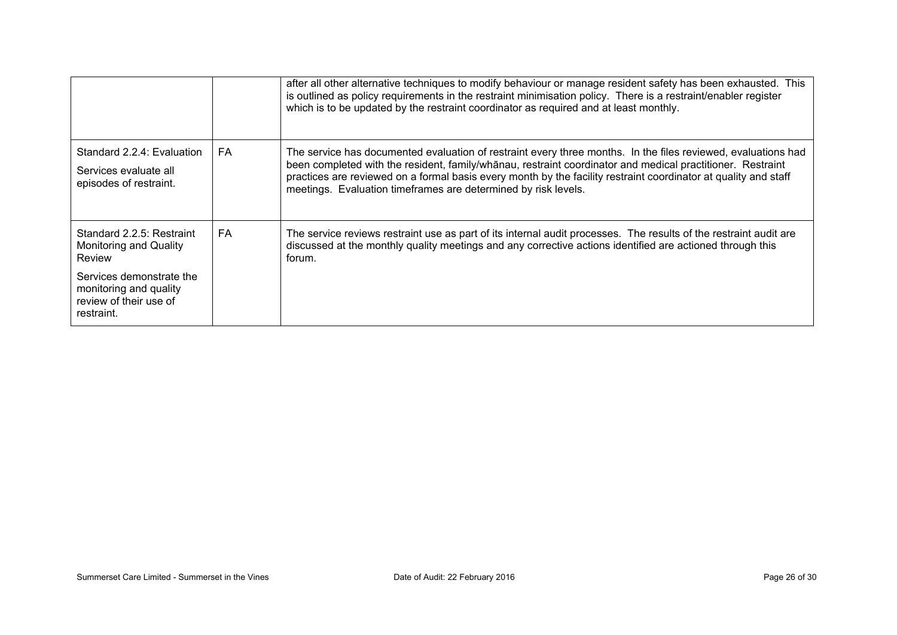|                                                                                            |           | after all other alternative techniques to modify behaviour or manage resident safety has been exhausted. This<br>is outlined as policy requirements in the restraint minimisation policy. There is a restraint/enabler register<br>which is to be updated by the restraint coordinator as required and at least monthly.                                                                                         |
|--------------------------------------------------------------------------------------------|-----------|------------------------------------------------------------------------------------------------------------------------------------------------------------------------------------------------------------------------------------------------------------------------------------------------------------------------------------------------------------------------------------------------------------------|
| Standard 2.2.4: Evaluation<br>Services evaluate all<br>episodes of restraint.              | <b>FA</b> | The service has documented evaluation of restraint every three months. In the files reviewed, evaluations had<br>been completed with the resident, family/whanau, restraint coordinator and medical practitioner. Restraint<br>practices are reviewed on a formal basis every month by the facility restraint coordinator at quality and staff<br>meetings. Evaluation timeframes are determined by risk levels. |
| Standard 2.2.5: Restraint<br>Monitoring and Quality<br>Review                              | <b>FA</b> | The service reviews restraint use as part of its internal audit processes. The results of the restraint audit are<br>discussed at the monthly quality meetings and any corrective actions identified are actioned through this<br>forum.                                                                                                                                                                         |
| Services demonstrate the<br>monitoring and quality<br>review of their use of<br>restraint. |           |                                                                                                                                                                                                                                                                                                                                                                                                                  |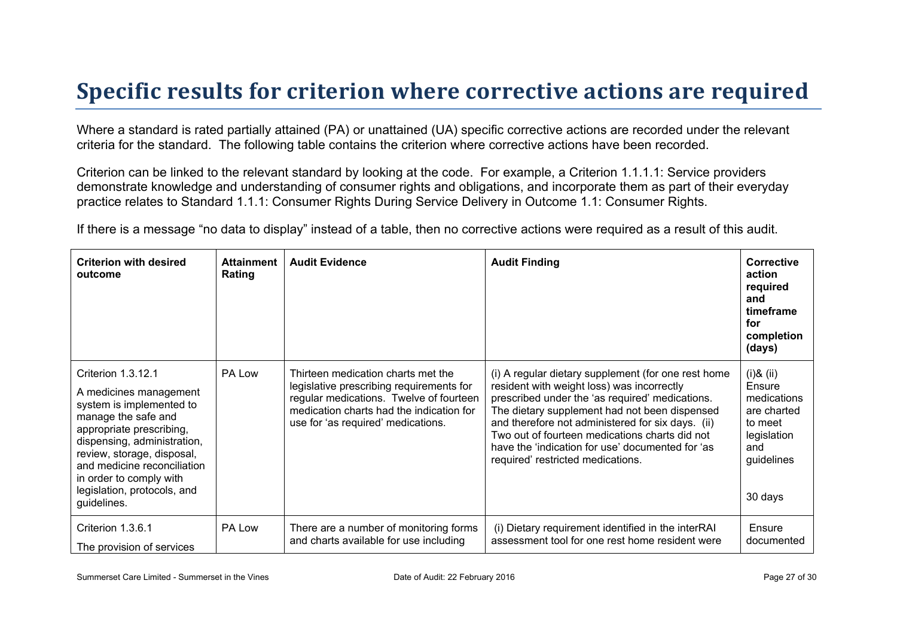## **Specific results for criterion where corrective actions are required**

Where a standard is rated partially attained (PA) or unattained (UA) specific corrective actions are recorded under the relevant criteria for the standard. The following table contains the criterion where corrective actions have been recorded.

Criterion can be linked to the relevant standard by looking at the code. For example, a Criterion 1.1.1.1: Service providers demonstrate knowledge and understanding of consumer rights and obligations, and incorporate them as part of their everyday practice relates to Standard 1.1.1: Consumer Rights During Service Delivery in Outcome 1.1: Consumer Rights.

If there is a message "no data to display" instead of a table, then no corrective actions were required as a result of this audit.

| <b>Criterion with desired</b><br>outcome                                                                                                                                                                                                                                                         | <b>Attainment</b><br>Rating | <b>Audit Evidence</b>                                                                                                                                                                                       | <b>Audit Finding</b>                                                                                                                                                                                                                                                                                                                                                                                  | <b>Corrective</b><br>action<br>required<br>and<br>timeframe<br>for<br>completion<br>(days)                        |
|--------------------------------------------------------------------------------------------------------------------------------------------------------------------------------------------------------------------------------------------------------------------------------------------------|-----------------------------|-------------------------------------------------------------------------------------------------------------------------------------------------------------------------------------------------------------|-------------------------------------------------------------------------------------------------------------------------------------------------------------------------------------------------------------------------------------------------------------------------------------------------------------------------------------------------------------------------------------------------------|-------------------------------------------------------------------------------------------------------------------|
| Criterion 1.3.12.1<br>A medicines management<br>system is implemented to<br>manage the safe and<br>appropriate prescribing,<br>dispensing, administration,<br>review, storage, disposal,<br>and medicine reconciliation<br>in order to comply with<br>legislation, protocols, and<br>guidelines. | PA Low                      | Thirteen medication charts met the<br>legislative prescribing requirements for<br>regular medications. Twelve of fourteen<br>medication charts had the indication for<br>use for 'as required' medications. | (i) A regular dietary supplement (for one rest home<br>resident with weight loss) was incorrectly<br>prescribed under the 'as required' medications.<br>The dietary supplement had not been dispensed<br>and therefore not administered for six days. (ii)<br>Two out of fourteen medications charts did not<br>have the 'indication for use' documented for 'as<br>required' restricted medications. | $(ii)$ & $(ii)$<br>Ensure<br>medications<br>are charted<br>to meet<br>legislation<br>and<br>guidelines<br>30 days |
| Criterion 1.3.6.1<br>The provision of services                                                                                                                                                                                                                                                   | PA Low                      | There are a number of monitoring forms<br>and charts available for use including                                                                                                                            | (i) Dietary requirement identified in the interRAI<br>assessment tool for one rest home resident were                                                                                                                                                                                                                                                                                                 | Ensure<br>documented                                                                                              |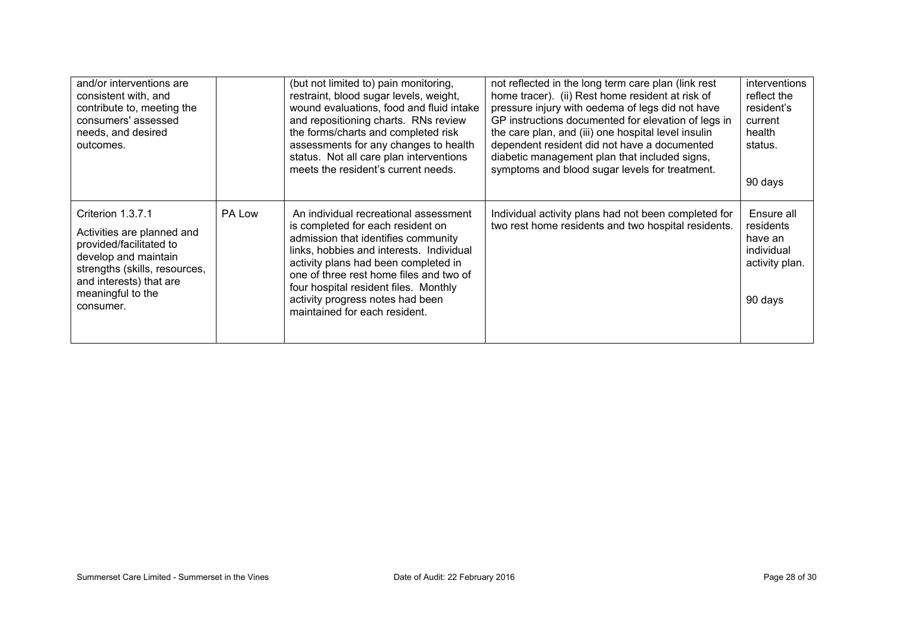| and/or interventions are<br>consistent with, and<br>contribute to, meeting the<br>consumers' assessed<br>needs, and desired<br>outcomes.                                                         |        | (but not limited to) pain monitoring,<br>restraint, blood sugar levels, weight,<br>wound evaluations, food and fluid intake<br>and repositioning charts. RNs review<br>the forms/charts and completed risk<br>assessments for any changes to health<br>status. Not all care plan interventions<br>meets the resident's current needs.                          | not reflected in the long term care plan (link rest<br>home tracer). (ii) Rest home resident at risk of<br>pressure injury with oedema of legs did not have<br>GP instructions documented for elevation of legs in<br>the care plan, and (iii) one hospital level insulin<br>dependent resident did not have a documented<br>diabetic management plan that included signs,<br>symptoms and blood sugar levels for treatment. | interventions<br>reflect the<br>resident's<br>current<br>health<br>status.<br>90 days |
|--------------------------------------------------------------------------------------------------------------------------------------------------------------------------------------------------|--------|----------------------------------------------------------------------------------------------------------------------------------------------------------------------------------------------------------------------------------------------------------------------------------------------------------------------------------------------------------------|------------------------------------------------------------------------------------------------------------------------------------------------------------------------------------------------------------------------------------------------------------------------------------------------------------------------------------------------------------------------------------------------------------------------------|---------------------------------------------------------------------------------------|
| Criterion 1.3.7.1<br>Activities are planned and<br>provided/facilitated to<br>develop and maintain<br>strengths (skills, resources,<br>and interests) that are<br>meaningful to the<br>consumer. | PA Low | An individual recreational assessment<br>is completed for each resident on<br>admission that identifies community<br>links, hobbies and interests. Individual<br>activity plans had been completed in<br>one of three rest home files and two of<br>four hospital resident files. Monthly<br>activity progress notes had been<br>maintained for each resident. | Individual activity plans had not been completed for<br>two rest home residents and two hospital residents.                                                                                                                                                                                                                                                                                                                  | Ensure all<br>residents<br>have an<br>individual<br>activity plan.<br>90 days         |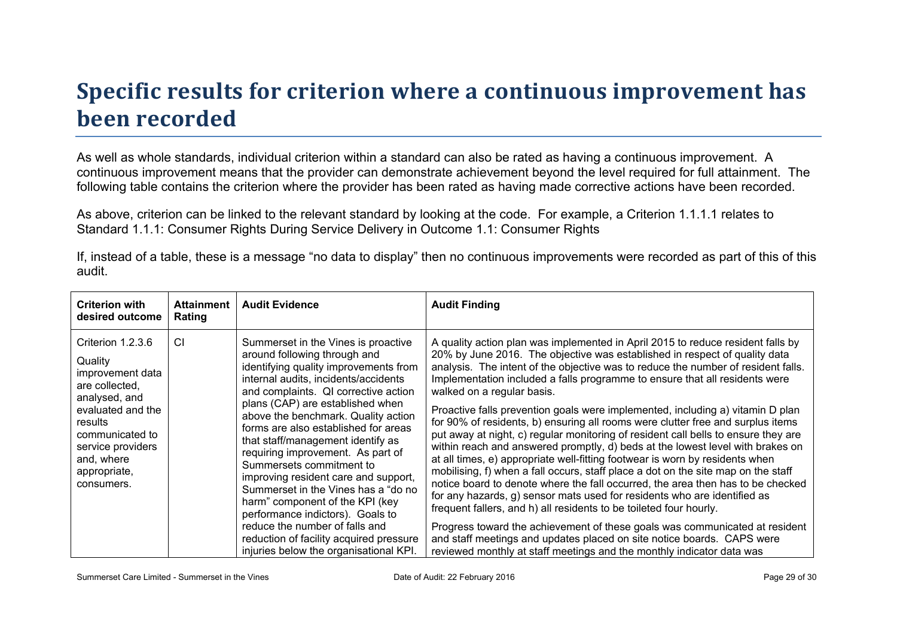## **Specific results for criterion where a continuous improvement has been recorded**

As well as whole standards, individual criterion within a standard can also be rated as having a continuous improvement. A continuous improvement means that the provider can demonstrate achievement beyond the level required for full attainment. The following table contains the criterion where the provider has been rated as having made corrective actions have been recorded.

As above, criterion can be linked to the relevant standard by looking at the code. For example, a Criterion 1.1.1.1 relates to Standard 1.1.1: Consumer Rights During Service Delivery in Outcome 1.1: Consumer Rights

If, instead of a table, these is a message "no data to display" then no continuous improvements were recorded as part of this of this audit.

| <b>Criterion with</b><br>desired outcome                                                                                                                                                                | <b>Attainment</b><br>Rating | <b>Audit Evidence</b>                                                                                                                                                                                                                                                                                                                                                                                                                                                                                                                                                                                                                                                                              | <b>Audit Finding</b>                                                                                                                                                                                                                                                                                                                                                                                                                                                                                                                                                                                                                                                                                                                                                                                                                                                                                                                                                                                                                                                                                                                                                                                                                                                                                                                                     |
|---------------------------------------------------------------------------------------------------------------------------------------------------------------------------------------------------------|-----------------------------|----------------------------------------------------------------------------------------------------------------------------------------------------------------------------------------------------------------------------------------------------------------------------------------------------------------------------------------------------------------------------------------------------------------------------------------------------------------------------------------------------------------------------------------------------------------------------------------------------------------------------------------------------------------------------------------------------|----------------------------------------------------------------------------------------------------------------------------------------------------------------------------------------------------------------------------------------------------------------------------------------------------------------------------------------------------------------------------------------------------------------------------------------------------------------------------------------------------------------------------------------------------------------------------------------------------------------------------------------------------------------------------------------------------------------------------------------------------------------------------------------------------------------------------------------------------------------------------------------------------------------------------------------------------------------------------------------------------------------------------------------------------------------------------------------------------------------------------------------------------------------------------------------------------------------------------------------------------------------------------------------------------------------------------------------------------------|
| Criterion 1.2.3.6<br>Quality<br>improvement data<br>are collected,<br>analysed, and<br>evaluated and the<br>results<br>communicated to<br>service providers<br>and, where<br>appropriate,<br>consumers. | CI.                         | Summerset in the Vines is proactive<br>around following through and<br>identifying quality improvements from<br>internal audits, incidents/accidents<br>and complaints. QI corrective action<br>plans (CAP) are established when<br>above the benchmark. Quality action<br>forms are also established for areas<br>that staff/management identify as<br>requiring improvement. As part of<br>Summersets commitment to<br>improving resident care and support,<br>Summerset in the Vines has a "do no<br>harm" component of the KPI (key<br>performance indictors). Goals to<br>reduce the number of falls and<br>reduction of facility acquired pressure<br>injuries below the organisational KPI. | A quality action plan was implemented in April 2015 to reduce resident falls by<br>20% by June 2016. The objective was established in respect of quality data<br>analysis. The intent of the objective was to reduce the number of resident falls.<br>Implementation included a falls programme to ensure that all residents were<br>walked on a regular basis.<br>Proactive falls prevention goals were implemented, including a) vitamin D plan<br>for 90% of residents, b) ensuring all rooms were clutter free and surplus items<br>put away at night, c) regular monitoring of resident call bells to ensure they are<br>within reach and answered promptly, d) beds at the lowest level with brakes on<br>at all times, e) appropriate well-fitting footwear is worn by residents when<br>mobilising, f) when a fall occurs, staff place a dot on the site map on the staff<br>notice board to denote where the fall occurred, the area then has to be checked<br>for any hazards, g) sensor mats used for residents who are identified as<br>frequent fallers, and h) all residents to be toileted four hourly.<br>Progress toward the achievement of these goals was communicated at resident<br>and staff meetings and updates placed on site notice boards. CAPS were<br>reviewed monthly at staff meetings and the monthly indicator data was |